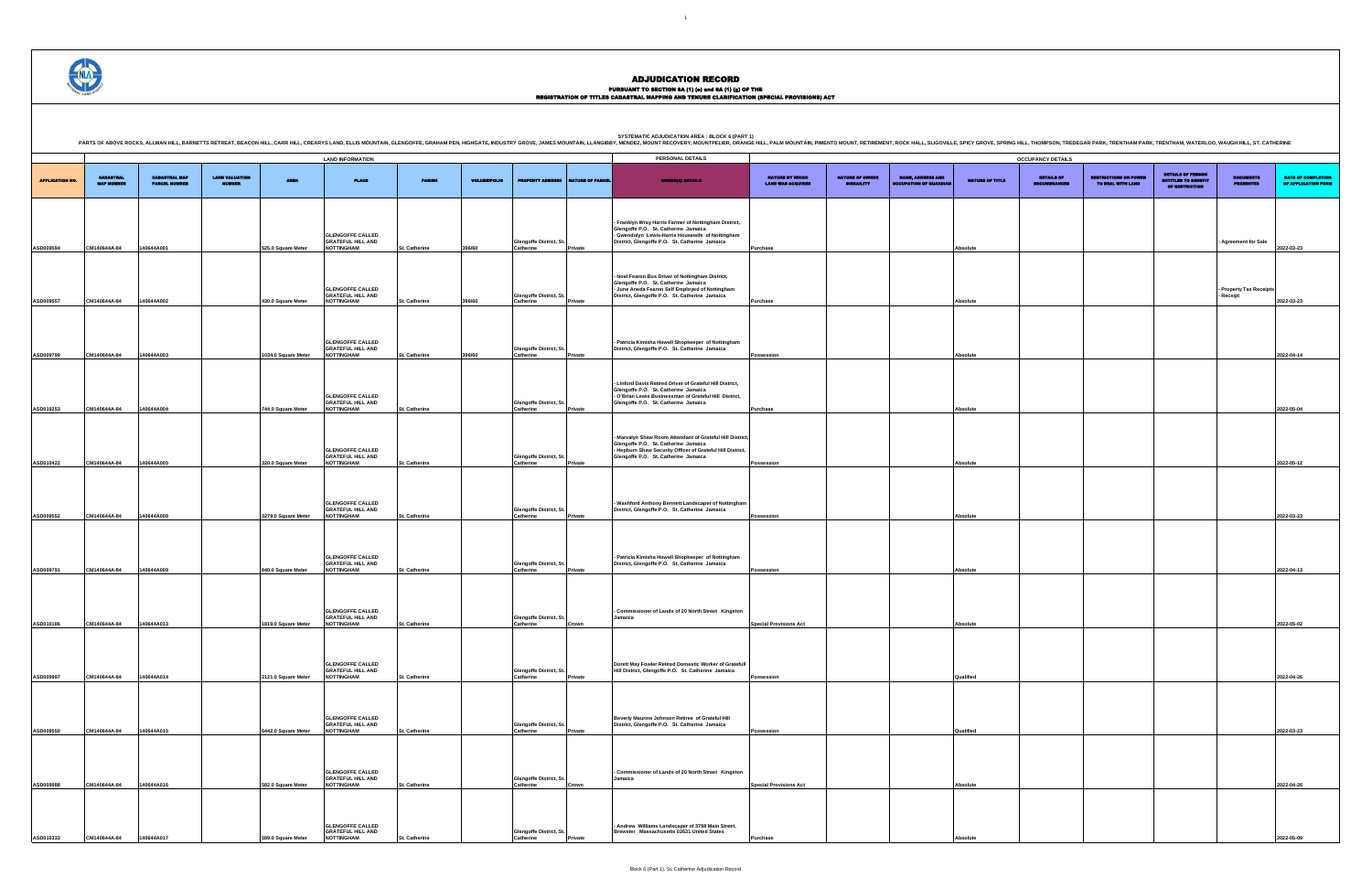## PURSUANT TO SECTION 8A (1) (0) and 8A (1) (g) OF THE<br>REGISTRATION OF TITLES CADASTRAL MAPPING AND TENURE CLARIFICATION (SPECIAL PROVISIONS) ACT

DETAILS OF ENCUMBRANCES RESTRICTIONS ON POWER TO DEAL WITH LAND DETAILS OF PERSON ENTITLED TO BENEFIT OF RESTRICTION DOCUMENTS PRESENTED DATE OF COMPLETION OF APPLICATION FORM **- Agreement for Sale 2022-03-23 - Property Tax Receipts - Receipt 2022-03-23 Possession Absolute 2022-04-14 Purchase Absolute 2022-05-04 Possession Absolute 2022-05-12 Possession Absolute 2022-03-23 Possession Absolute 2022-04-13 Special Provisions Act Absolute 2022-05-02 Possession Qualified 2022-04-26 Possession Qualified 2022-03-23 Special Provisions Act Absolute 2022-04-26 Purchase Absolute 2022-05-09**

|                        |                                       |                                              |                                        |                     |                                                                          |               |                     |                                             |                  | <b>SYSTEMATIC ADJUDICATION AREA : BLOCK 6 (PART 1)</b><br>PARTS OF ABOVE ROCKS, ALLMAN HILL, BARNETTS RETREAT, BEACON HILL, CARR HILL, CRRARYS LAND, ELLIS MOUNTAIN, GLENGOFFE, GRAHAM PEN, HIGHGATE, INDUSTRY GROVE, JAMES MOUNTAIN, LLANGIBBY, MENDEZ, MOUNT RECOVERY, MOUNTPELIER, OR |                                             |                                             |                                                           |                 |                            |
|------------------------|---------------------------------------|----------------------------------------------|----------------------------------------|---------------------|--------------------------------------------------------------------------|---------------|---------------------|---------------------------------------------|------------------|------------------------------------------------------------------------------------------------------------------------------------------------------------------------------------------------------------------------------------------------------------------------------------------|---------------------------------------------|---------------------------------------------|-----------------------------------------------------------|-----------------|----------------------------|
|                        |                                       |                                              |                                        |                     | <b>LAND INFORMATION</b>                                                  |               |                     |                                             |                  | PERSONAL DETAILS                                                                                                                                                                                                                                                                         |                                             |                                             |                                                           |                 | <b>OCCUPANCY DETAILS</b>   |
| <b>APPLICATION NO.</b> | <b>CADASTRAL</b><br><b>MAP NUMBER</b> | <b>CADASTRAL MAP</b><br><b>PARCEL NUMBER</b> | <b>LAND VALUATION</b><br><b>MUMBER</b> | <b>AREA</b>         | <b>PLACE</b>                                                             | <b>PARISH</b> | <b>VOLUME/FOLIO</b> | <b>PROPERTY ADDRESS</b>                     | NATURE OF PARCEL | <b>OWNER(8) DETAILS</b>                                                                                                                                                                                                                                                                  | NATURE BY WHICH<br><b>LAND WAS ACQUIRED</b> | <b>NATURE OF OWNER</b><br><b>DISBAILITY</b> | <b>NAME, ADDRESS AND</b><br><b>OCCUPATION OF GUARDIAL</b> | NATURE OF TITLE | DETAILS OF<br>ENCUMBRANCES |
| ASD009594              | CM140644A-84                          | 140644A001                                   |                                        | 525.0 Square Meter  | <b>GLENGOFFE CALLED</b><br><b>GRATEFUL HILL AND</b><br><b>NOTTINGHAM</b> | St. Catherine | 396/60              | Glengoffe District, St.<br>Catherine        | Private          | Franklyn Wray Harris Farmer of Nottingham District,<br>Glengoffe P.O. St. Catherine Jamaica<br>- Gwendolyn Lewis-Harris Housewife of Nottingham<br>District, Glengoffe P.O. St. Catherine Jamaica                                                                                        | Purchase                                    |                                             |                                                           | Absolute        |                            |
| ASD009557              | CM140644A-84                          | 140644A002                                   |                                        | 430.0 Square Meter  | <b>GLENGOFFE CALLED</b><br><b>GRATEFUL HILL AND</b><br><b>NOTTINGHAM</b> | St. Catherine | 396/60              | Glengoffe District, St.<br>Catherine        | Private          | Noel Fearon Bus Driver of Nottingham District,<br>Glengoffe P.O. St. Catherine Jamaica<br>- June Aneda Fearon Self Employed of Nottingham<br>District, Glengoffe P.O. St. Catherine Jamaica                                                                                              | Purchase                                    |                                             |                                                           | <b>Absolute</b> |                            |
| ASD009799              | CM140644A-84                          | 140644A003                                   |                                        | 1034.0 Square Meter | <b>GLENGOFFE CALLED</b><br><b>GRATEFUL HILL AND</b><br><b>NOTTINGHAM</b> | St. Catherine | 396/60              | Glengoffe District, St.<br><b>Catherine</b> | Private          | Patricia Kimisha Howell Shopkeeper of Nottingham<br>District, Glengoffe P.O. St. Catherine Jamaica                                                                                                                                                                                       | Possession                                  |                                             |                                                           | <b>Absolute</b> |                            |
| ASD010253              | CM140644A-84                          | 140644A004                                   |                                        | 744.0 Square Meter  | <b>GLENGOFFE CALLED</b><br><b>GRATEFUL HILL AND</b><br><b>NOTTINGHAM</b> | St. Catherine |                     | Glengoffe District, St.<br><b>Catherine</b> | Private          | Linford Davis Retired Driver of Grateful Hill District,<br>Glengoffe P.O. St. Catherine Jamaica<br>- O'Brian Lewis Businessman of Grateful Hill District,<br>Glengoffe P.O. St. Catherine Jamaica                                                                                        | Purchase                                    |                                             |                                                           | <b>Absolute</b> |                            |
| ASD010422              | CM140644A-84                          | 140644A005                                   |                                        | 320.0 Square Meter  | <b>GLENGOFFE CALLED</b><br><b>GRATEFUL HILL AND</b><br><b>NOTTINGHAM</b> | St. Catherine |                     | Glengoffe District, St.<br>Catherine        | Private          | Marvalyn Shaw Room Attendant of Grateful Hill District<br>Glengoffe P.O. St. Catherine Jamaica<br>- Hepburn Shaw Security Officer of Grateful Hill District,<br>Glengoffe P.O. St. Catherine Jamaica                                                                                     | Possession                                  |                                             |                                                           | <b>Absolute</b> |                            |
| ASD009552              | CM140644A-84                          | 140644A008                                   |                                        | 3279.0 Square Meter | <b>GLENGOFFE CALLED</b><br><b>GRATEFUL HILL AND</b><br><b>NOTTINGHAM</b> | St. Catherine |                     | Glengoffe District, St.<br><b>Catherine</b> | Private          | - Washford Anthony Bennett Landscaper of Nottingham<br>District, Glengoffe P.O. St. Catherine Jamaica                                                                                                                                                                                    | Possession                                  |                                             |                                                           | <b>Absolute</b> |                            |
| ASD009791              | CM140644A-84                          | 140644A009                                   |                                        | 840.0 Square Meter  | <b>GLENGOFFE CALLED</b><br><b>GRATEFUL HILL AND</b><br><b>NOTTINGHAM</b> | St. Catherine |                     | Glengoffe District, St.<br>Catherine        | Private          | Patricia Kimisha Howell Shopkeeper of Nottingham<br>District, Glengoffe P.O. St. Catherine Jamaica                                                                                                                                                                                       | Possession                                  |                                             |                                                           | <b>Absolute</b> |                            |
| ASD010186              | CM140644A-84                          | 140644A013                                   |                                        | 1819.0 Square Meter | <b>GLENGOFFE CALLED</b><br><b>GRATEFUL HILL AND</b><br><b>NOTTINGHAM</b> | St. Catherine |                     | Glengoffe District, St.<br><b>Catherine</b> | Crown            | Commissioner of Lands of 20 North Street Kingston<br>Jamaica                                                                                                                                                                                                                             | <b>Special Provisions Act</b>               |                                             |                                                           | <b>Absolute</b> |                            |
| ASD009997              | CM140644A-84                          | 140644A014                                   |                                        | 2121.0 Square Meter | <b>GLENGOFFE CALLED</b><br><b>GRATEFUL HILL AND</b><br><b>NOTTINGHAM</b> | St. Catherine |                     | Glengoffe District, St.<br>Catherine        | Private          | Dorett May Fowler Retired Domestic Worker of Gratefull<br>Hill District, Glengoffe P.O. St. Catherine Jamaica                                                                                                                                                                            | Possession                                  |                                             |                                                           | Qualified       |                            |
| ASD009550              | CM140644A-84                          | 140644A015                                   |                                        | 6442.0 Square Meter | <b>GLENGOFFE CALLED</b><br><b>GRATEFUL HILL AND</b><br><b>NOTTINGHAM</b> | St. Catherine |                     | Glengoffe District, St.<br>Catherine        | Private          | Beverly Maurine Johnson Retiree of Grateful Hill<br>District, Glengoffe P.O. St. Catherine Jamaica                                                                                                                                                                                       | Possession                                  |                                             |                                                           | Qualified       |                            |
| ASD009988              | CM140644A-84                          | 140644A016                                   |                                        | 582.0 Square Meter  | <b>GLENGOFFE CALLED</b><br><b>GRATEFUL HILL AND</b><br><b>NOTTINGHAM</b> | St. Catherine |                     | Glengoffe District, St.<br>Catherine        | Crown            | Commissioner of Lands of 20 North Street Kingston<br>Jamaica                                                                                                                                                                                                                             | <b>Special Provisions Act</b>               |                                             |                                                           | Absolute        |                            |
| ASD010333              | CM140644A-84                          | 140644A017                                   |                                        | 589.0 Square Meter  | <b>GLENGOFFE CALLED</b><br><b>GRATEFUL HILL AND</b><br><b>NOTTINGHAM</b> | St. Catherine |                     | Glengoffe District, St.<br>Catherine        | Private          | Andrew Williams Landscaper of 3758 Main Street,<br>Brewster Massachusetts 02631 United States                                                                                                                                                                                            | Purchase                                    |                                             |                                                           | <b>Absolute</b> |                            |

.<br>PRING HILL, THOMPSON, TREDEGAR PARK, TRENTHAM PARK, TRENTHAM, WATERLOO, WAUGH HILL, ST. CATHERINE

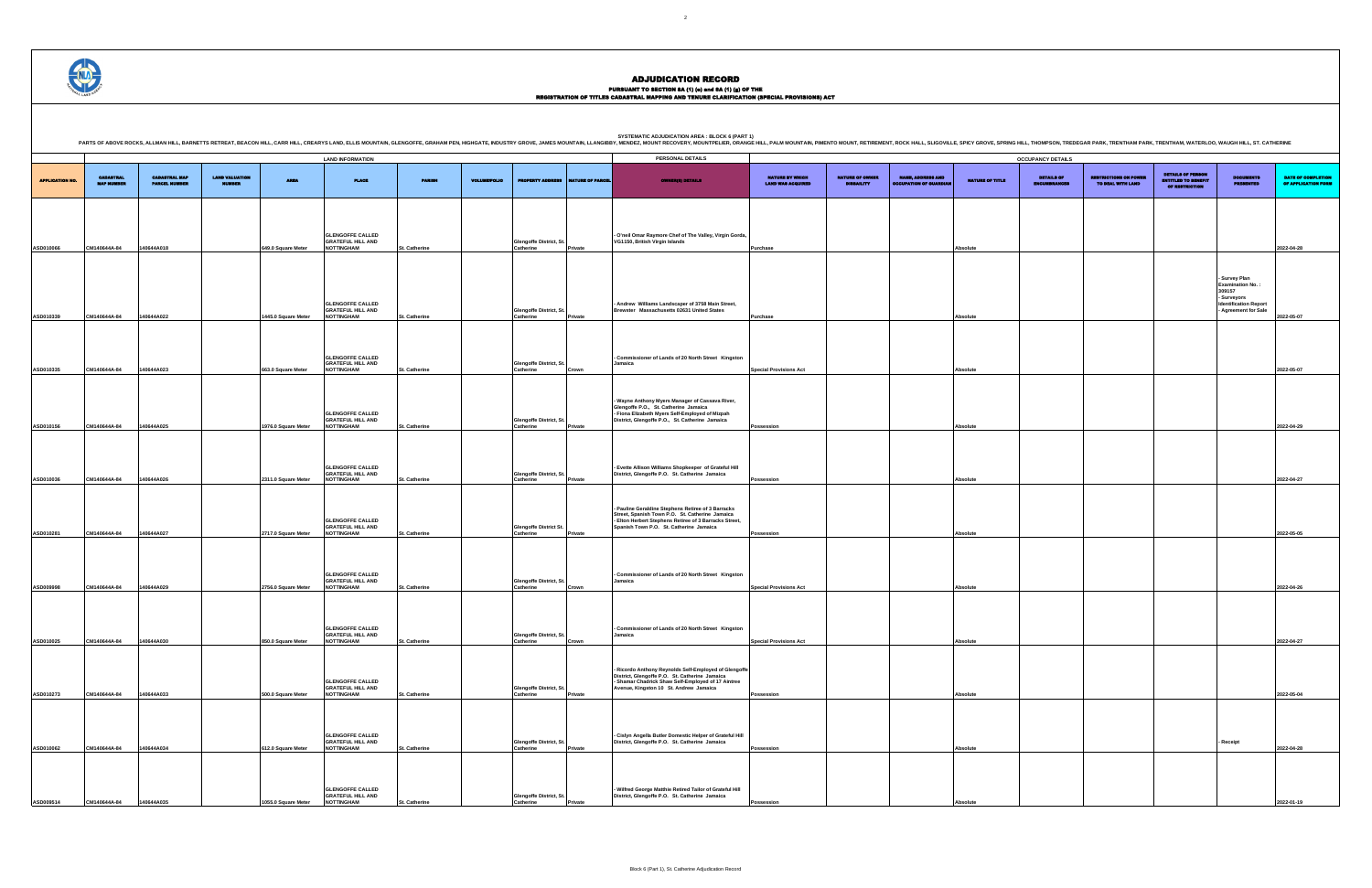## PURSUANT TO SECTION 8A (1) (0) and 8A (1) (g) OF THE<br>REGISTRATION OF TITLES CADASTRAL MAPPING AND TENURE CLARIFICATION (SPECIAL PROVISIONS) ACT

|                        |                                       |                                              |                                        |                     | <b>LAND INFORMATION</b>                                                  |               |                     |                                                   |                         | PERSONAL DETAILS                                                                                                                                                                                           |                                             |                                             |                                                          |                 | <b>OCCUPANCY DETAILS</b>   |
|------------------------|---------------------------------------|----------------------------------------------|----------------------------------------|---------------------|--------------------------------------------------------------------------|---------------|---------------------|---------------------------------------------------|-------------------------|------------------------------------------------------------------------------------------------------------------------------------------------------------------------------------------------------------|---------------------------------------------|---------------------------------------------|----------------------------------------------------------|-----------------|----------------------------|
| <b>APPLICATION NO.</b> | <b>CADASTRAL</b><br><b>MAP NUMBER</b> | <b>CADASTRAL MAP</b><br><b>PARCEL NUMBER</b> | <b>LAND VALUATION</b><br><b>MUMBER</b> | <b>AREA</b>         | <b>PLACE</b>                                                             | <b>PARISH</b> | <b>VOLUME/FOLIO</b> | <b>PROPERTY ADDRESS</b>                           | <b>NATURE OF PARCEL</b> | <b>OWNER(8) DETAILS</b>                                                                                                                                                                                    | NATURE BY WHICH<br><b>LAND WAS ACQUIRED</b> | <b>NATURE OF OWNER</b><br><b>DISBAILITY</b> | <b>NAME, ADDRESS AND</b><br><b>OCCUPATION OF QUARDIA</b> | NATURE OF TITLE | DETAILS OF<br>ENCUMBRANCES |
|                        |                                       |                                              |                                        |                     |                                                                          |               |                     |                                                   |                         |                                                                                                                                                                                                            |                                             |                                             |                                                          |                 |                            |
|                        |                                       |                                              |                                        |                     | <b>GLENGOFFE CALLED</b><br><b>GRATEFUL HILL AND</b>                      |               |                     | Glengoffe District, St.                           |                         | - O'neil Omar Raymore Chef of The Valley, Virgin Gorda,<br>VG1150, British Virgin Islands                                                                                                                  |                                             |                                             |                                                          |                 |                            |
| ASD010066              | CM140644A-84                          | 140644A018                                   |                                        | 649.0 Square Meter  | <b>NOTTINGHAM</b>                                                        | St. Catherine |                     | <b>Catherine</b>                                  | Private                 |                                                                                                                                                                                                            | Purchase                                    |                                             |                                                          | Absolute        |                            |
|                        |                                       |                                              |                                        |                     | <b>GLENGOFFE CALLED</b>                                                  |               |                     |                                                   |                         | - Andrew Williams Landscaper of 3758 Main Street,                                                                                                                                                          |                                             |                                             |                                                          |                 |                            |
| ASD010339              | CM140644A-84                          | 140644A022                                   |                                        | 1445.0 Square Meter | <b>GRATEFUL HILL AND</b><br><b>NOTTINGHAM</b>                            | St. Catherine |                     | <b>Glengoffe District, St</b><br><b>Catherine</b> | Private                 | Brewster Massachusetts 02631 United States                                                                                                                                                                 | Purchase                                    |                                             |                                                          | Absolute        |                            |
|                        |                                       |                                              |                                        |                     | <b>GLENGOFFE CALLED</b>                                                  |               |                     |                                                   |                         | - Commissioner of Lands of 20 North Street Kingston                                                                                                                                                        |                                             |                                             |                                                          |                 |                            |
| ASD010335              | CM140644A-84                          | 140644A023                                   |                                        | 663.0 Square Meter  | <b>GRATEFUL HILL AND</b><br><b>NOTTINGHAM</b>                            | St. Catherine |                     | <b>Glengoffe District, St</b><br>Catherine        | Crown                   | Jamaica                                                                                                                                                                                                    | <b>Special Provisions Act</b>               |                                             |                                                          | Absolute        |                            |
|                        |                                       |                                              |                                        |                     | <b>GLENGOFFE CALLED</b><br><b>GRATEFUL HILL AND</b>                      |               |                     | Glengoffe District, St.                           |                         | - Wayne Anthony Myers Manager of Cassava River,<br>Glengoffe P.O., St. Catherine Jamaica<br>- Fiona Elizabeth Myers Self-Employed of Mizpah<br>District, Glengoffe P.O., St. Catherine Jamaica             |                                             |                                             |                                                          |                 |                            |
| ASD010156              | CM140644A-84                          | 140644A025                                   |                                        | 1976.0 Square Meter | <b>NOTTINGHAM</b>                                                        | St. Catherine |                     | Catherine                                         | Private                 |                                                                                                                                                                                                            | Possession                                  |                                             |                                                          | Absolute        |                            |
|                        |                                       |                                              |                                        |                     | <b>GLENGOFFE CALLED</b><br><b>GRATEFUL HILL AND</b>                      |               |                     | Glengoffe District, St.                           |                         | - Evette Allison Williams Shopkeeper of Grateful Hill<br>District, Glengoffe P.O. St. Catherine Jamaica                                                                                                    |                                             |                                             |                                                          |                 |                            |
| ASD010036              | CM140644A-84                          | 140644A026                                   |                                        | 2311.0 Square Meter | <b>NOTTINGHAM</b>                                                        | St. Catherine |                     | Catherine                                         | Private                 |                                                                                                                                                                                                            | Possession                                  |                                             |                                                          | Absolute        |                            |
| ASD010281              | CM140644A-84                          | 140644A027                                   |                                        | 2717.0 Square Meter | <b>GLENGOFFE CALLED</b><br><b>GRATEFUL HILL AND</b><br><b>NOTTINGHAM</b> | St. Catherine |                     | <b>Glengoffe District St.</b><br>Catherine        | Private                 | - Pauline Geraldine Stephens Retiree of 3 Barracks<br>Street, Spanish Town P.O. St. Catherine Jamaica<br>- Elton Herbert Stephens Retiree of 3 Barracks Street,<br>Spanish Town P.O. St. Catherine Jamaica | Possession                                  |                                             |                                                          | Absolute        |                            |
|                        |                                       |                                              |                                        |                     |                                                                          |               |                     |                                                   |                         |                                                                                                                                                                                                            |                                             |                                             |                                                          |                 |                            |
| ASD009998              | CM140644A-84                          | 140644A029                                   |                                        | 2756.0 Square Meter | <b>GLENGOFFE CALLED</b><br><b>GRATEFUL HILL AND</b><br><b>NOTTINGHAM</b> | St. Catherine |                     | Glengoffe District, St.<br><b>Catherine</b>       | Crown                   | - Commissioner of Lands of 20 North Street Kingston<br>Jamaica                                                                                                                                             | <b>Special Provisions Act</b>               |                                             |                                                          | Absolute        |                            |
|                        |                                       |                                              |                                        |                     |                                                                          |               |                     |                                                   |                         |                                                                                                                                                                                                            |                                             |                                             |                                                          |                 |                            |
| ASD010025              | CM140644A-84                          | 140644A030                                   |                                        | 850.0 Square Meter  | <b>GLENGOFFE CALLED</b><br>GRATEFUL HILL AND<br><b>NOTTINGHAM</b>        | St. Catherine |                     | Glengoffe District, St.<br>Catherine              | Crown                   | - Commissioner of Lands of 20 North Street Kingston<br>Jamaica                                                                                                                                             | <b>Special Provisions Act</b>               |                                             |                                                          | Absolute        |                            |
|                        |                                       |                                              |                                        |                     |                                                                          |               |                     |                                                   |                         | Ricordo Anthony Reynolds Self-Employed of Glengoffe<br>District, Glengoffe P.O. St. Catherine Jamaica                                                                                                      |                                             |                                             |                                                          |                 |                            |
| ASD010273              | CM140644A-84                          | 140644A033                                   |                                        | 500.0 Square Meter  | <b>GLENGOFFE CALLED<br/>GRATEFUL HILL AND</b><br><b>NOTTINGHAM</b>       | St. Catherine |                     | Glengoffe District, St.<br>Catherine              | Private                 | - Shamar Chadrick Shaw Self-Employed of 17 Aintree<br>Avenue, Kingston 10 St. Andrew Jamaica                                                                                                               | Possession                                  |                                             |                                                          | Absolute        |                            |
|                        |                                       |                                              |                                        |                     |                                                                          |               |                     |                                                   |                         |                                                                                                                                                                                                            |                                             |                                             |                                                          |                 |                            |
| ASD010062              | CM140644A-84                          | 140644A034                                   |                                        | 612.0 Square Meter  | <b>GLENGOFFE CALLED<br/>GRATEFUL HILL AND</b><br><b>NOTTINGHAM</b>       | St. Catherine |                     | Glengoffe District, St.<br>Catherine              | Private                 | - Cislyn Angella Butler Domestic Helper of Grateful Hill<br>District, Glengoffe P.O. St. Catherine Jamaica                                                                                                 | Possession                                  |                                             |                                                          | Absolute        |                            |
|                        |                                       |                                              |                                        |                     |                                                                          |               |                     |                                                   |                         |                                                                                                                                                                                                            |                                             |                                             |                                                          |                 |                            |
|                        |                                       |                                              |                                        |                     | <b>GLENGOFFE CALLED<br/>GRATEFUL HILL AND</b>                            |               |                     | Glengoffe District, St.                           |                         | - Wilfred George Matthie Retired Tailor of Grateful Hill<br>District, Glengoffe P.O. St. Catherine Jamaica                                                                                                 |                                             |                                             |                                                          |                 |                            |
| ASD009514              | CM140644A-84                          | 140644A035                                   |                                        | 1055.0 Square Meter | <b>NOTTINGHAM</b>                                                        | St. Catherine |                     | Catherine                                         | Private                 |                                                                                                                                                                                                            | Possession                                  |                                             |                                                          | <b>Absolute</b> |                            |

DETAILS OF ENCUMBRANCES RESTRICTIONS ON POWER TO DEAL WITH LAND DETAILS OF PERSON ENTITLED TO BENEFIT OF RESTRICTION DOCUMENTS PRESENTED DATE OF COMPLETION OF APPLICATION FORM **Purchase Absolute 2022-04-28 - Survey Plan Examination No. : 309157 - Surveyors Identification Report - Agreement for Sale 2022-05-07 Special Provisions Act Absolute 2022-05-07 Possession Absolute 2022-04-29 Possession Absolute 2022-04-27 Possession Absolute 2022-05-05 Special Provisions Act Absolute 2022-04-26 Special Provisions Act Absolute 2022-04-27 Possession Absolute 2022-05-04 - Receipt 2022-04-28 Possession Absolute 2022-01-19**

.<br>PRING HILL, THOMPSON, TREDEGAR PARK, TRENTHAM PARK, TRENTHAM, WATERLOO, WAUGH HILL, ST. CATHERINE

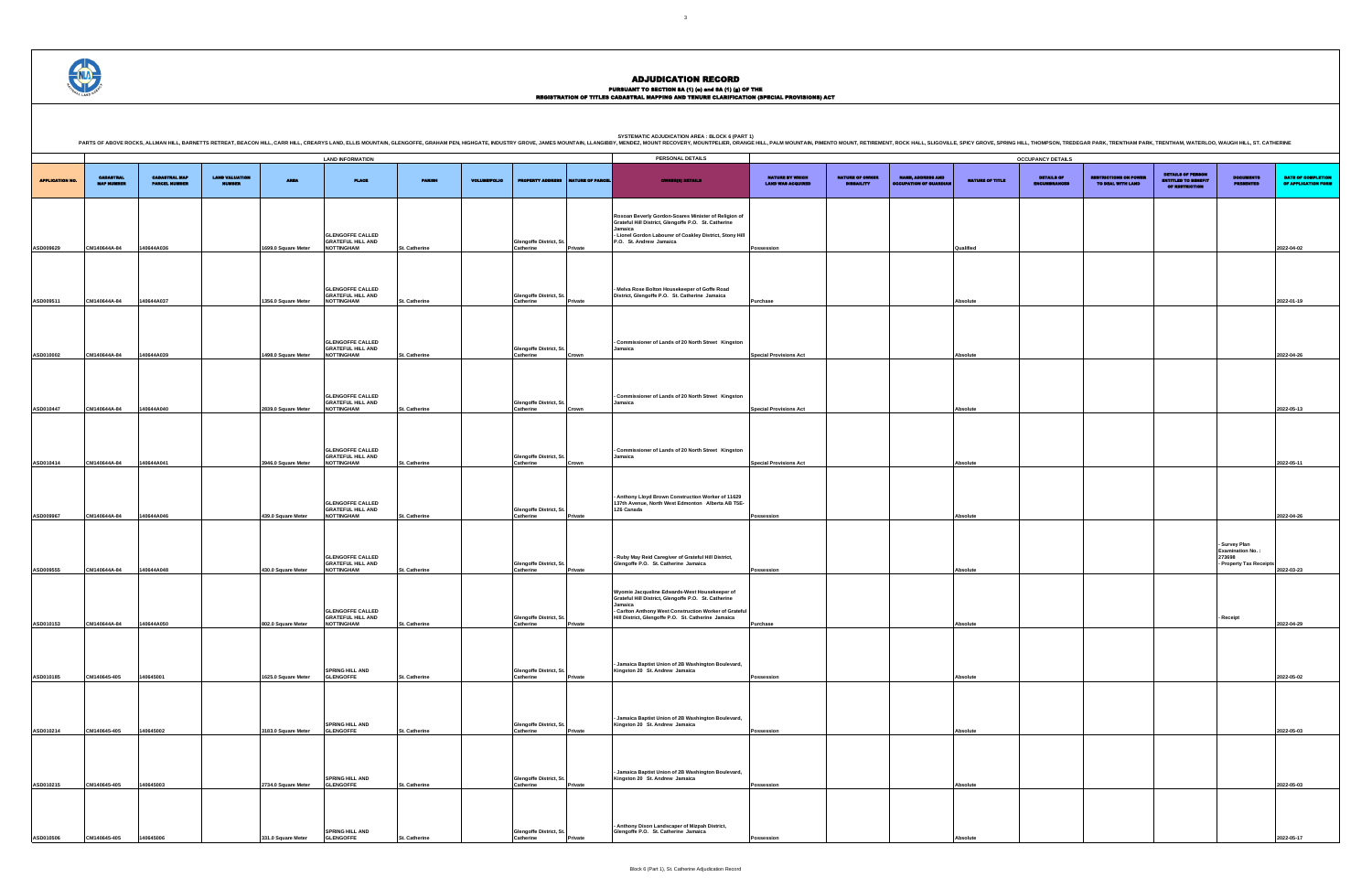## PURSUANT TO SECTION 8A (1) (0) and 8A (1) (g) OF THE<br>REGISTRATION OF TITLES CADASTRAL MAPPING AND TENURE CLARIFICATION (SPECIAL PROVISIONS) ACT

**SYSTEMATIC ADJUDICATION AREA : BLOCK 6 (PART 1)** .<br>RING HILL, THOMPSON, TREDEGAR PARK, TRENTHAM PARK, TRENTHAM, WATERLOO, WAUGH HILL, ST. CATHERINE

DETAILS OF ENCUMBRANCES RESTRICTIONS ON POWER TO DEAL WITH LAND DETAILS OF PERSON ENTITLED TO BENEFIT OF RESTRICTION DOCUMENTS PRESENTED DATE OF COMPLETION OF APPLICATION FORM **Possession Qualified 2022-04-02 Purchase Absolute 2022-01-19 Special Provisions Act Absolute 2022-04-26 Special Provisions Act Absolute 2022-05-13 Special Provisions Act Absolute 2022-05-11 Possession Absolute 2022-04-26 - Survey Plan Examination No. : 273698 - Property Tax Receipts 2022-03-23 - Receipt 2022-04-29 Possession Absolute 2022-05-02 Possession Absolute 2022-05-03 Possession Absolute 2022-05-03 Possession Absolute 2022-05-17**

|                       |                                       |                                              |                                        |                     | <b>LAND INFORMATION</b>                                                  |                      |                     |                                      |                         | PERSONAL DETAILS                                                                                                                                                                                                                  |                                             |                                             |                                                         |                 | <b>OCCUPANCY DETAILS</b>   |
|-----------------------|---------------------------------------|----------------------------------------------|----------------------------------------|---------------------|--------------------------------------------------------------------------|----------------------|---------------------|--------------------------------------|-------------------------|-----------------------------------------------------------------------------------------------------------------------------------------------------------------------------------------------------------------------------------|---------------------------------------------|---------------------------------------------|---------------------------------------------------------|-----------------|----------------------------|
|                       |                                       |                                              |                                        |                     |                                                                          |                      |                     |                                      |                         |                                                                                                                                                                                                                                   |                                             |                                             |                                                         |                 |                            |
| <b>APPLICATION NO</b> | <b>CADASTRAL</b><br><b>MAP NUMBER</b> | <b>CADASTRAL MAP</b><br><b>PARCEL NUMBER</b> | <b>LAND VALUATION</b><br><b>NUMBER</b> | <b>AREA</b>         | <b>PLACE</b>                                                             | <b>PARISH</b>        | <b>VOLUME/FOLIO</b> | <b>PROPERTY ADDRESS</b>              | <b>NATURE OF PARCEI</b> | <b>OWNER(8) DETAILS</b>                                                                                                                                                                                                           | NATURE BY WHICH<br><b>LAND WAS ACQUIRED</b> | <b>NATURE OF OWNER</b><br><b>DISBAILITY</b> | <b>NAME, ADDRESS AND</b><br><b>CCUPATION OF QUARDIA</b> | NATURE OF TITLE | DETAILS OF<br>ENCUMBRANCES |
|                       |                                       |                                              |                                        |                     | <b>GLENGOFFE CALLED</b>                                                  |                      |                     |                                      |                         | Roxoan Beverly Gordon-Soares Minister of Religion of<br>Grateful Hill District, Glengoffe P.O. St. Catherine<br>Jamaica<br>- Lionel Gordon Labourer of Coakley District, Stony Hill                                               |                                             |                                             |                                                         |                 |                            |
| ASD009629             | CM140644A-84                          | 40644A036                                    |                                        | 1699.0 Square Meter | <b>GRATEFUL HILL AND</b><br><b>NOTTINGHAM</b>                            | St. Catherine        |                     | Glengoffe District, St.<br>Catherine | Private                 | P.O. St. Andrew Jamaica                                                                                                                                                                                                           | Possession                                  |                                             |                                                         | Qualified       |                            |
|                       |                                       |                                              |                                        |                     | <b>GLENGOFFE CALLED</b><br><b>GRATEFUL HILL AND</b>                      |                      |                     | Glengoffe District, St.              |                         | Melva Rose Bolton Housekeeper of Goffe Road<br>District, Glengoffe P.O. St. Catherine Jamaica                                                                                                                                     |                                             |                                             |                                                         |                 |                            |
| ASD009511             | CM140644A-84                          | 140644A037                                   |                                        | 1356.0 Square Meter | <b>NOTTINGHAM</b>                                                        | St. Catherine        |                     | Catherine                            | Private                 |                                                                                                                                                                                                                                   | Purchase                                    |                                             |                                                         | Absolute        |                            |
| ASD010002             | CM140644A-84                          | 140644A039                                   |                                        | 1498.0 Square Meter | <b>GLENGOFFE CALLED</b><br><b>GRATEFUL HILL AND</b><br><b>NOTTINGHAM</b> | St. Catherine        |                     | Glengoffe District, St.<br>Catherine | Crown                   | Commissioner of Lands of 20 North Street Kingston<br>Jamaica                                                                                                                                                                      | <b>Special Provisions Act</b>               |                                             |                                                         | <b>Absolute</b> |                            |
| ASD010447             | CM140644A-84                          | 140644A040                                   |                                        | 2839.0 Square Meter | <b>GLENGOFFE CALLED</b><br><b>GRATEFUL HILL AND</b><br><b>NOTTINGHAM</b> | <b>St. Catherine</b> |                     | Glengoffe District, St.<br>Catherine | Crown                   | Commissioner of Lands of 20 North Street Kingston<br>Jamaica                                                                                                                                                                      | <b>Special Provisions Act</b>               |                                             |                                                         | Absolute        |                            |
|                       |                                       |                                              |                                        |                     | <b>GLENGOFFE CALLED</b><br><b>GRATEFUL HILL AND</b>                      |                      |                     | Glengoffe District, St.<br>Catherine |                         | Commissioner of Lands of 20 North Street Kingston<br>Jamaica                                                                                                                                                                      |                                             |                                             |                                                         |                 |                            |
| ASD010414             | CM140644A-84                          | 140644A041                                   |                                        | 3946.0 Square Meter | <b>NOTTINGHAM</b>                                                        | St. Catherine        |                     |                                      | Crown                   |                                                                                                                                                                                                                                   | <b>Special Provisions Act</b>               |                                             |                                                         | Absolute        |                            |
| ASD009967             | CM140644A-84                          | 140644A046                                   |                                        | 439.0 Square Meter  | <b>GLENGOFFE CALLED</b><br><b>GRATEFUL HILL AND</b><br><b>NOTTINGHAM</b> | St. Catherine        |                     | Glengoffe District, St.<br>Catherine | Private                 | Anthony Lloyd Brown Construction Worker of 11629<br>137th Avenue, North West Edmonton Alberta AB T5E-<br>1Z6 Canada                                                                                                               | Possession                                  |                                             |                                                         | <b>Absolute</b> |                            |
| ASD009555             | CM140644A-84                          | 140644A048                                   |                                        | 430.0 Square Meter  | <b>GLENGOFFE CALLED</b><br><b>GRATEFUL HILL AND</b><br><b>NOTTINGHAM</b> | St. Catherine        |                     | Glengoffe District, St.<br>Catherine | Private                 | Ruby May Reid Caregiver of Grateful Hill District,<br>Glengoffe P.O. St. Catherine Jamaica                                                                                                                                        | Possession                                  |                                             |                                                         | <b>Absolute</b> |                            |
| ASD010153             | CM140644A-84                          | 40644A050                                    |                                        | 802.0 Square Meter  | <b>GLENGOFFE CALLED</b><br><b>GRATEFUL HILL AND</b><br><b>NOTTINGHAM</b> | <b>St. Catherine</b> |                     | Glengoffe District, St.<br>Catherine | Private                 | Wyomie Jacqueline Edwards-West Housekeeper of<br>Grateful Hill District, Glengoffe P.O. St. Catherine<br>Jamaica<br>- Carlton Anthony West Construction Worker of Grateful<br>Hill District, Glengoffe P.O. St. Catherine Jamaica | Purchase                                    |                                             |                                                         | Absolute        |                            |
| ASD010185             | CM140645-405                          | 140645001                                    |                                        | 1625.0 Square Meter | SPRING HILL AND<br><b>GLENGOFFE</b>                                      | St. Catherine        |                     | Glengoffe District, St.<br>Catherine | Private                 | Jamaica Baptist Union of 2B Washington Boulevard,<br>Kingston 20 St. Andrew Jamaica                                                                                                                                               | Possession                                  |                                             |                                                         | Absolute        |                            |
| ASD010214             | CM140645-405                          | 140645002                                    |                                        | 3183.0 Square Meter | SPRING HILL AND<br><b>GLENGOFFE</b>                                      | St. Catherine        |                     | Glengoffe District, St.<br>Catherine |                         | Jamaica Baptist Union of 2B Washington Boulevard,<br>Kingston 20 St. Andrew Jamaica                                                                                                                                               |                                             |                                             |                                                         | Absolute        |                            |
|                       |                                       |                                              |                                        |                     | SPRING HILL AND                                                          |                      |                     | Glengoffe District, St.              | Private                 | Jamaica Baptist Union of 2B Washington Boulevard,<br>Kingston 20 St. Andrew Jamaica                                                                                                                                               | Possession                                  |                                             |                                                         |                 |                            |
| ASD010215             | CM140645-405                          | 140645003                                    |                                        | 2734.0 Square Meter | <b>GLENGOFFE</b>                                                         | <b>St. Catherine</b> |                     | Catherine                            | Private                 |                                                                                                                                                                                                                                   | Possession                                  |                                             |                                                         | Absolute        |                            |
|                       |                                       |                                              |                                        |                     | <b>SPRING HILL AND</b>                                                   |                      |                     | Glengoffe District, St.              |                         | Anthony Dixon Landscaper of Mizpah District,<br>Glengoffe P.O. St. Catherine Jamaica                                                                                                                                              |                                             |                                             |                                                         |                 |                            |
| ASD010506             | CM140645-405                          | 140645006                                    |                                        | 331.0 Square Meter  | <b>GLENGOFFE</b>                                                         | <b>St. Catherine</b> |                     | Catherine                            | Private                 |                                                                                                                                                                                                                                   | Possession                                  |                                             |                                                         | Absolute        |                            |

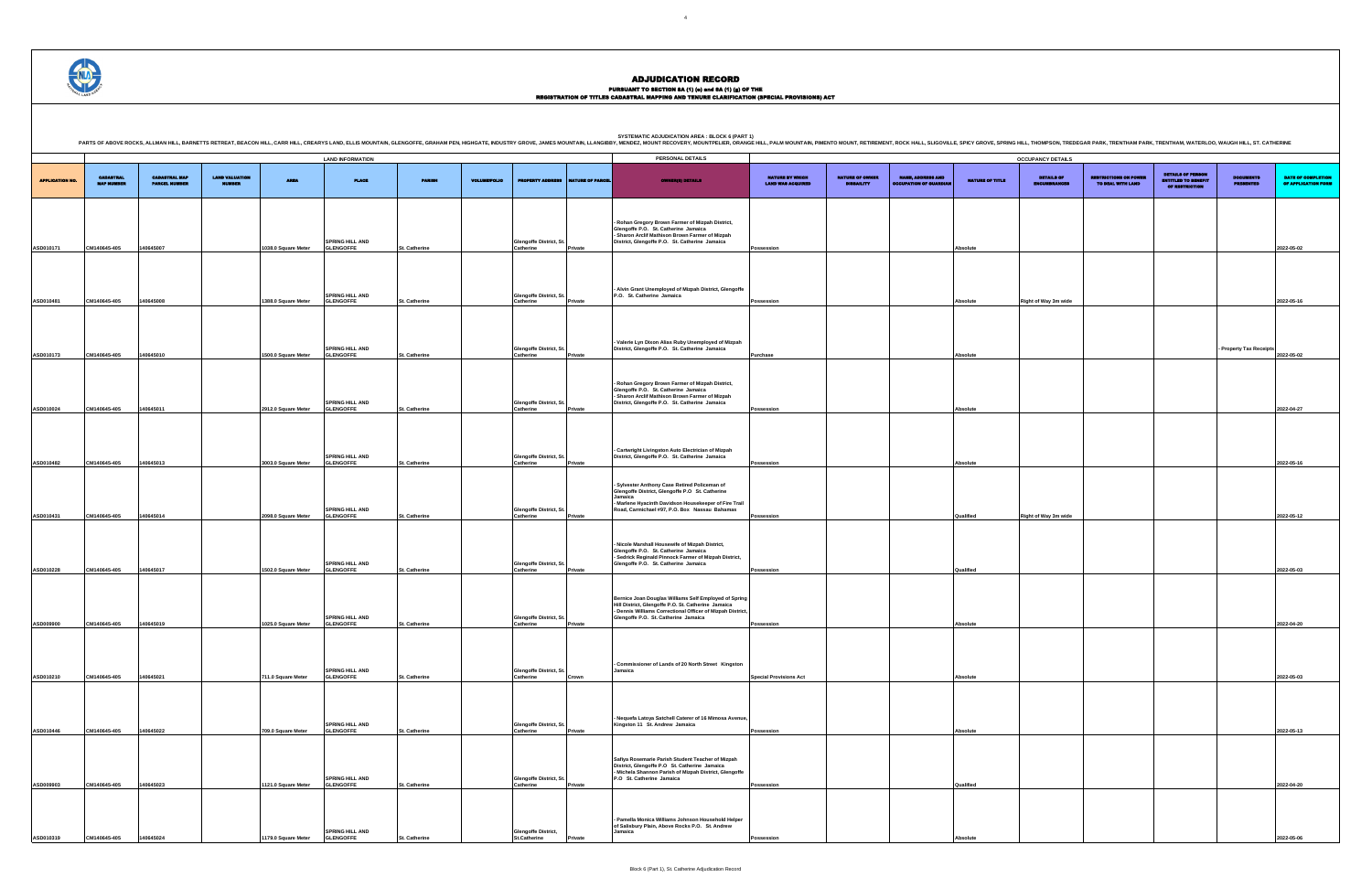## PURSUANT TO SECTION 8A (1) (0) and 8A (1) (g) OF THE<br>REGISTRATION OF TITLES CADASTRAL MAPPING AND TENURE CLARIFICATION (SPECIAL PROVISIONS) ACT

DETAILS OF ENCUMBRANCES RESTRICTIONS ON POWER TO DEAL WITH LAND DETAILS OF PERSON ENTITLED TO BENEFIT OF RESTRICTION DOCUMENTS PRESENTED DATE OF COMPLETION OF APPLICATION FORM **Possession Absolute 2022-05-02 Possession Right of Way 3m wide Right of Way 3m wide Right of Way 3m wide 2022-05-16 - Property Tax Receipts 2022-05-02 Possession Absolute 2022-04-27 Possession Absolute 2022-05-16 Possession COV Right of Way 3m wide Qualified COV 2022-05-12 Possession Qualified 2022-05-03 Possession Absolute 2022-04-20 Special Provisions Act Absolute 2022-05-03 Possession Absolute 2022-05-13 Possession Qualified 2022-04-20 Possession Absolute 2022-05-06**

|                        |                                       |                                              |                       |                     | <b>LAND INFORMATION</b>                    |                      |                     |                                            |                  | <b>SYSTEMATIC ADJUDICATION AREA : BLOCK 6 (PART 1)</b><br>PARTS OF ABOVE ROCKS, ALLMAN HILL, BARNETTS RETREAT, BEACON HILL, CARR HILL, CARR HILL, CARR HILL, CARR HILL, CARR HILL, CARR HILL, CARR HILL, CARR HILL, BARNOUNTAIN, ELLIS MOUNTAIN, OLENGOFFE, GRAHAM PEN, HIGHOATE, INDUST<br>PERSONAL DETAILS |                                             |                                             |                                                       |                 | <b>OCCUPANCY DETAILS</b>            |                                                   |                                                                                 |                                     |                             |
|------------------------|---------------------------------------|----------------------------------------------|-----------------------|---------------------|--------------------------------------------|----------------------|---------------------|--------------------------------------------|------------------|--------------------------------------------------------------------------------------------------------------------------------------------------------------------------------------------------------------------------------------------------------------------------------------------------------------|---------------------------------------------|---------------------------------------------|-------------------------------------------------------|-----------------|-------------------------------------|---------------------------------------------------|---------------------------------------------------------------------------------|-------------------------------------|-----------------------------|
| <b>APPLICATION NO.</b> | <b>CADASTRAL</b><br><b>MAP NUMBER</b> | <b>CADASTRAL MAP</b><br><b>PARCEL NUMBER</b> | <b>LAND VALUATION</b> | <b>AREA</b>         | <b>PLACE</b>                               | <b>PARISH</b>        | <b>VOLUME/FOLIO</b> | <b>MOPERTY ADD</b>                         | NATURE OF PARCEL | <b>OWNER(8) DETAILS</b>                                                                                                                                                                                                                                                                                      | NATURE BY WHICH<br><b>LAND WAS ACQUIRED</b> | <b>NATURE OF OWNER</b><br><b>DISBAILITY</b> | <b>NAME, ADDRESS AND</b><br><b>CUPATION OF GUARDL</b> | NATURE OF TITLE | <b>DETAILS OF</b><br><b>MRRANCE</b> | <b>RESTRICTIONS ON POWER</b><br>TO DEAL WITH LAND | <b>DETAILS OF PERSON</b><br><b>ENTITLED TO BENEFIT</b><br><b>OF RESTRICTION</b> | <b>DOCUMENTS</b><br><b>CISTMERS</b> | <b>DATE</b><br><b>OF AF</b> |
| ASD010171              | CM140645-405                          | 140645007                                    |                       | 1038.0 Square Meter | SPRING HILL AND<br><b>GLENGOFFE</b>        | <b>St. Catherine</b> |                     | Glengoffe District, St<br>Catherine        | Private          | - Rohan Gregory Brown Farmer of Mizpah District,<br>Glengoffe P.O. St. Catherine Jamaica<br>- Sharon Arclif Mathison Brown Farmer of Mizpah<br>District, Glengoffe P.O. St. Catherine Jamaica                                                                                                                | Possession                                  |                                             |                                                       | Absolute        |                                     |                                                   |                                                                                 |                                     | 2022-05                     |
| ASD010481              | CM140645-405                          | 140645008                                    |                       | 1388.0 Square Meter | <b>SPRING HILL AND</b><br><b>GLENGOFFE</b> | St. Catherine        |                     | Glengoffe District, S<br>Catherine         | Private          | Alvin Grant Unemployed of Mizpah District, Glengoffe<br>P.O. St. Catherine Jamaica                                                                                                                                                                                                                           | Possession                                  |                                             |                                                       | Absolute        | Right of Way 3m wide                |                                                   |                                                                                 |                                     | 2022-05                     |
|                        |                                       |                                              |                       |                     |                                            |                      |                     |                                            |                  | - Valerie Lyn Dixon Alias Ruby Unemployed of Mizpah                                                                                                                                                                                                                                                          |                                             |                                             |                                                       |                 |                                     |                                                   |                                                                                 |                                     |                             |
| ASD010173              | CM140645-405                          | 140645010                                    |                       | 1500.0 Square Meter | <b>SPRING HILL AND</b><br><b>GLENGOFFE</b> | <b>St. Catherine</b> |                     | <b>Glengoffe District, S</b><br>Catherine  | Private          | District, Glengoffe P.O. St. Catherine Jamaica                                                                                                                                                                                                                                                               | Purchase                                    |                                             |                                                       | Absolute        |                                     |                                                   |                                                                                 | <b>Property Tax Receipts</b>        | 2022-05                     |
| ASD010024              | CM140645-405                          | 140645011                                    |                       | 2912.0 Square Meter | <b>SPRING HILL AND</b><br><b>GLENGOFFE</b> | St. Catherine        |                     | Glengoffe District, St<br>Catherine        | Private          | - Rohan Gregory Brown Farmer of Mizpah District,<br>Glengoffe P.O. St. Catherine Jamaica<br>- Sharon Arclif Mathison Brown Farmer of Mizpah<br>District, Glengoffe P.O. St. Catherine Jamaica                                                                                                                | Possession                                  |                                             |                                                       | Absolute        |                                     |                                                   |                                                                                 |                                     | 2022-04                     |
|                        |                                       |                                              |                       |                     |                                            |                      |                     |                                            |                  | - Cartwright Livingston Auto Electrician of Mizpah                                                                                                                                                                                                                                                           |                                             |                                             |                                                       |                 |                                     |                                                   |                                                                                 |                                     |                             |
| ASD010482              | CM140645-405                          | 140645013                                    |                       | 3003.0 Square Meter | <b>SPRING HILL AND</b><br><b>GLENGOFFE</b> | St. Catherine        |                     | Glengoffe District, S<br>Catherine         | rivate           | District, Glengoffe P.O. St. Catherine Jamaica                                                                                                                                                                                                                                                               | Possession                                  |                                             |                                                       | Absolute        |                                     |                                                   |                                                                                 |                                     | 2022-05                     |
| ASD010431              | CM140645-405                          | 140645014                                    |                       | 2098.0 Square Meter | <b>SPRING HILL AND</b><br><b>GLENGOFFE</b> | <b>St. Catherine</b> |                     | <b>Glengoffe District, St</b><br>Catherine | Private          | - Sylvester Anthony Case Retired Policeman of<br>Glengoffe District, Glengoffe P.O St. Catherine<br>Jamaica<br>- Marlene Hyacinth Davidson Housekeeper of Fire Trail<br>Road, Carmichael #97, P.O. Box Nassau Bahamas                                                                                        | Possession                                  |                                             |                                                       | Qualified       | Right of Way 3m wide                |                                                   |                                                                                 |                                     | 2022-05                     |
|                        |                                       |                                              |                       |                     | <b>SPRING HILL AND</b>                     |                      |                     | <b>Glengoffe District, St</b>              |                  | Nicole Marshall Housewife of Mizpah District,<br>Glengoffe P.O. St. Catherine Jamaica<br>- Sedrick Reginald Pinnock Farmer of Mizpah District,<br>Glengoffe P.O. St. Catherine Jamaica                                                                                                                       |                                             |                                             |                                                       |                 |                                     |                                                   |                                                                                 |                                     |                             |
| ASD010228              | CM140645-405                          | 140645017                                    |                       | 1502.0 Square Meter | <b>GLENGOFFE</b>                           | <b>St. Catherine</b> |                     | Catherine                                  | ivate            | Bernice Joan Douglas Williams Self Employed of Spring<br>Hill District, Glengoffe P.O. St. Catherine Jamaica                                                                                                                                                                                                 | ossession                                   |                                             |                                                       | Qualified       |                                     |                                                   |                                                                                 |                                     | 2022-05                     |
| ASD009900              | CM140645-405                          | 140645019                                    |                       | 1025.0 Square Meter | <b>SPRING HILL AND</b><br><b>GLENGOFFE</b> | St. Catherine        |                     | Glengoffe District, St<br>Catherine        | vate             | - Dennis Williams Correctional Officer of Mizpah District,<br>Glengoffe P.O. St. Catherine Jamaica                                                                                                                                                                                                           | 'ossession                                  |                                             |                                                       | Absolute        |                                     |                                                   |                                                                                 |                                     | 2022-04                     |
| ASD010210              | CM140645-405                          | 140645021                                    |                       | 711.0 Square Meter  | <b>SPRING HILL AND</b><br><b>GLENGOFFE</b> | St. Catherine        |                     | Glengoffe District, St.<br>Catherine       | Crown            | Commissioner of Lands of 20 North Street Kingston<br>Jamaica                                                                                                                                                                                                                                                 | <b>Special Provisions Act</b>               |                                             |                                                       | Absolute        |                                     |                                                   |                                                                                 |                                     | 2022-05                     |
|                        |                                       |                                              |                       |                     |                                            |                      |                     |                                            |                  | Nequefa Latoya Satchell Caterer of 16 Mimosa Avenue,                                                                                                                                                                                                                                                         |                                             |                                             |                                                       |                 |                                     |                                                   |                                                                                 |                                     |                             |
| ASD010446              | CM140645-405                          | 140645022                                    |                       | 709.0 Square Meter  | SPRING HILL AND<br><b>GLENGOFFE</b>        | St. Catherine        |                     | <b>Glengoffe District, St</b><br>Catherine | Private          | Kingston 11 St. Andrew Jamaica                                                                                                                                                                                                                                                                               | Possession                                  |                                             |                                                       | Absolute        |                                     |                                                   |                                                                                 |                                     | 2022-05                     |
| ASD009903              | CM140645-405                          | 140645023                                    |                       | 1121.0 Square Meter | <b>SPRING HILL AND</b><br><b>GLENGOFFE</b> | St. Catherine        |                     | Glengoffe District, St.<br>Catherine       | Private          | Safiya Rosemarie Parish Student Teacher of Mizpah<br>District, Glengoffe P.O St. Catherine Jamaica<br>- Michela Shannon Parish of Mizpah District, Glengoffe<br>P.O St. Catherine Jamaica                                                                                                                    | Possession                                  |                                             |                                                       | Qualified       |                                     |                                                   |                                                                                 |                                     | 2022-04                     |
|                        |                                       |                                              |                       |                     |                                            |                      |                     |                                            |                  | Pamella Monica Williams Johnson Household Helper<br>of Salisbury Plain, Above Rocks P.O. St. Andrew                                                                                                                                                                                                          |                                             |                                             |                                                       |                 |                                     |                                                   |                                                                                 |                                     |                             |
| ASD010319              | CM140645-405                          | 140645024                                    |                       | 1179.0 Square Meter | <b>SPRING HILL AND</b><br><b>GLENGOFFE</b> | St. Catherine        |                     | Glengoffe District,<br>St.Catherine        | Private          | Jamaica                                                                                                                                                                                                                                                                                                      | Possession                                  |                                             |                                                       | Absolute        |                                     |                                                   |                                                                                 |                                     | 2022-05                     |



# ADJUDICATION RECORD

Block 6 (Part 1), St. Catherine Adjudication Record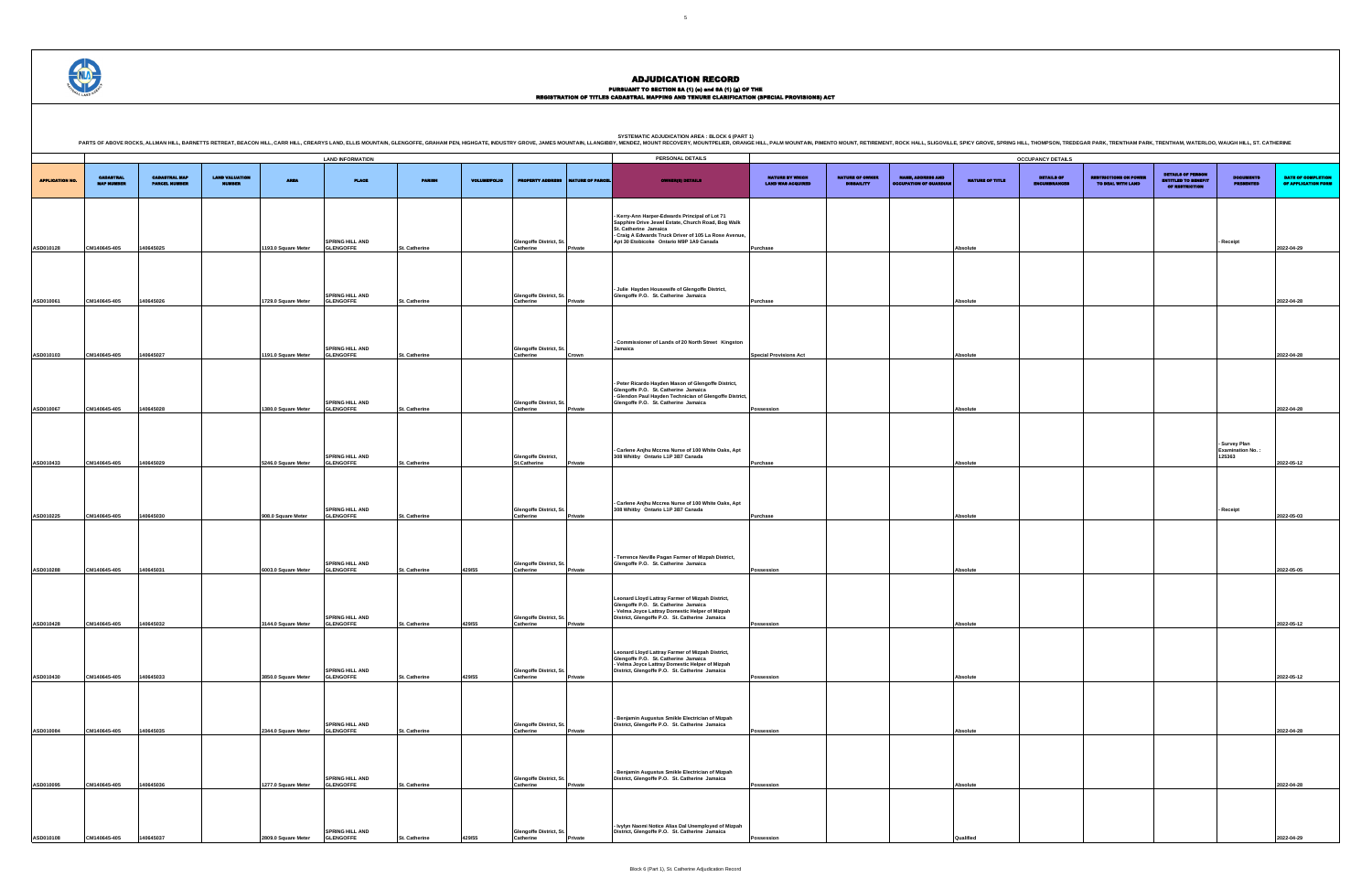## PURSUANT TO SECTION 8A (1) (0) and 8A (1) (g) OF THE<br>REGISTRATION OF TITLES CADASTRAL MAPPING AND TENURE CLARIFICATION (SPECIAL PROVISIONS) ACT

|                        |                                       |                                              |                                        |                     | <b>LAND INFORMATION</b>                    |               |                     |                                                   |                  | PERSONAL DETAILS                                                                                                                                                                                                                |                                                    |                                             |                                                           |                 | <b>OCCUPANCY DETAILS</b>          |
|------------------------|---------------------------------------|----------------------------------------------|----------------------------------------|---------------------|--------------------------------------------|---------------|---------------------|---------------------------------------------------|------------------|---------------------------------------------------------------------------------------------------------------------------------------------------------------------------------------------------------------------------------|----------------------------------------------------|---------------------------------------------|-----------------------------------------------------------|-----------------|-----------------------------------|
| <b>APPLICATION NO.</b> | <b>CADASTRAL</b><br><b>MAP NUMBER</b> | <b>CADASTRAL MAP</b><br><b>PARCEL NUMBER</b> | <b>LAND VALUATION</b><br><b>AUMBER</b> | <b>AREA</b>         | <b>PLACE</b>                               | <b>PARISH</b> | <b>VOLUME/FOLIO</b> | <b>PROPERTY ADDR</b>                              | NATURE OF PARCEL | <b>OWNER(8) DETAILS</b>                                                                                                                                                                                                         | <b>NATURE BY WHICH</b><br><b>LAND WAS ACQUIRED</b> | <b>NATURE OF OWNER</b><br><b>DISBAILITY</b> | <b>NAME, ADDRESS AND</b><br><b>OCCUPATION OF GUARDIAN</b> | NATURE OF TITLE | <b>DETAILS OF</b><br>INCUMBRANCES |
|                        |                                       |                                              |                                        |                     | <b>SPRING HILL AND</b>                     |               |                     | Glengoffe District, St.                           |                  | Kerry-Ann Harper-Edwards Principal of Lot 71<br>Sapphire Drive Jewel Estate, Church Road, Bog Walk<br>St. Catherine Jamaica<br>- Craig A Edwards Truck Driver of 105 La Rose Avenue,<br>Apt 30 Etobicoke Ontario M9P 1A9 Canada |                                                    |                                             |                                                           |                 |                                   |
| ASD010128              | CM140645-405                          | 140645025                                    |                                        | 1193.0 Square Meter | <b>GLENGOFFE</b>                           | St. Catherine |                     | Catherine                                         | Private          |                                                                                                                                                                                                                                 | <b>Purchase</b>                                    |                                             |                                                           | Absolute        |                                   |
|                        |                                       |                                              |                                        |                     | <b>SPRING HILL AND</b>                     |               |                     | <b>Glengoffe District, St</b>                     |                  | - Julie Hayden Housewife of Glengoffe District,<br>Glengoffe P.O. St. Catherine Jamaica                                                                                                                                         |                                                    |                                             |                                                           |                 |                                   |
| ASD010061              | CM140645-405                          | 140645026                                    |                                        | 1729.0 Square Meter | <b>GLENGOFFE</b>                           | St. Catherine |                     | Catherine                                         | Private          |                                                                                                                                                                                                                                 | <b>Purchase</b>                                    |                                             |                                                           | Absolute        |                                   |
| ASD010103              | CM140645-405                          | 140645027                                    |                                        | 1191.0 Square Meter | <b>SPRING HILL AND</b><br><b>GLENGOFFE</b> | St. Catherine |                     | <b>Glengoffe District, St.</b><br>Catherine       | Crown            | Commissioner of Lands of 20 North Street Kingston<br>Jamaica                                                                                                                                                                    | <b>Special Provisions Act</b>                      |                                             |                                                           | Absolute        |                                   |
| ASD010067              | CM140645-405                          | 140645028                                    |                                        | 1380.0 Square Meter | <b>SPRING HILL AND</b><br><b>GLENGOFFE</b> | St. Catherine |                     | <b>Glengoffe District, St</b><br>Catherine        | Private          | Peter Ricardo Hayden Mason of Glengoffe District,<br>Glengoffe P.O. St. Catherine Jamaica<br>- Glendon Paul Hayden Technician of Glengoffe District,<br>Glengoffe P.O. St. Catherine Jamaica                                    | Possession                                         |                                             |                                                           | <b>Absolute</b> |                                   |
| ASD010433              | CM140645-405                          | 140645029                                    |                                        | 5246.0 Square Meter | <b>SPRING HILL AND</b><br><b>GLENGOFFE</b> | St. Catherine |                     | <b>Glengoffe District,</b><br><b>St.Catherine</b> | Private          | - Carlene Anjhu Mccrea Nurse of 100 White Oaks, Apt<br>308 Whitby Ontario L1P 3B7 Canada                                                                                                                                        | Purchase                                           |                                             |                                                           | Absolute        |                                   |
| ASD010225              | CM140645-405                          | 140645030                                    |                                        | 908.0 Square Meter  | <b>SPRING HILL AND</b><br><b>GLENGOFFE</b> | St. Catherine |                     | <b>Glengoffe District, St</b><br>Catherine        | Private          | - Carlene Anjhu Mccrea Nurse of 100 White Oaks, Apt<br>308 Whitby Ontario L1P 3B7 Canada                                                                                                                                        | Purchase                                           |                                             |                                                           | Absolute        |                                   |
| ASD010288              | CM140645-405                          | 140645031                                    |                                        | 6003.0 Square Meter | <b>SPRING HILL AND</b><br><b>GLENGOFFE</b> | St. Catherine | 429/55              | Glengoffe District, St.<br>Catherine              | Private          | - Terrence Neville Pagan Farmer of Mizpah District,<br>Glengoffe P.O. St. Catherine Jamaica                                                                                                                                     | Possession                                         |                                             |                                                           | Absolute        |                                   |
| ASD010428              | CM140645-405                          | 140645032                                    |                                        | 3144.0 Square Meter | <b>SPRING HILL AND</b><br><b>GLENGOFFE</b> | St. Catherine | 429/55              | Glengoffe District, St.<br>Catherine              | Private          | Leonard Lloyd Lattray Farmer of Mizpah District,<br>Glengoffe P.O. St. Catherine Jamaica<br>- Velma Joyce Lattray Domestic Helper of Mizpah<br>District, Glengoffe P.O. St. Catherine Jamaica                                   | Possession                                         |                                             |                                                           | Absolute        |                                   |
| ASD010430              | CM140645-405                          | 140645033                                    |                                        | 3850.0 Square Meter | <b>SPRING HILL AND</b><br><b>GLENGOFFE</b> | St. Catherine | 429/55              | <b>Glengoffe District, St.</b><br>Catherine       | Private          | Leonard Lloyd Lattray Farmer of Mizpah District,<br>Glengoffe P.O. St. Catherine Jamaica<br>- Velma Joyce Lattray Domestic Helper of Mizpah<br>District, Glengoffe P.O. St. Catherine Jamaica                                   | Possession                                         |                                             |                                                           | Absolute        |                                   |
| ASD010084              | CM140645-405                          | 140645035                                    |                                        | 2344.0 Square Meter | <b>SPRING HILL AND</b><br><b>GLENGOFFE</b> | St. Catherine |                     | <b>Glengoffe District, St</b><br>Catherine        | Private          | - Benjamin Augustus Smikle Electrician of Mizpah<br>District, Glengoffe P.O. St. Catherine Jamaica                                                                                                                              | Possession                                         |                                             |                                                           | Absolute        |                                   |
| ASD010095              | CM140645-405                          | 140645036                                    |                                        | 1277.0 Square Meter | <b>SPRING HILL AND</b><br><b>GLENGOFFE</b> | St. Catherine |                     | <b>Glengoffe District, St</b><br>Catherine        | Private          | - Benjamin Augustus Smikle Electrician of Mizpah<br>District, Glengoffe P.O. St. Catherine Jamaica                                                                                                                              | Possession                                         |                                             |                                                           | Absolute        |                                   |
| ASD010108              | CM140645-405                          | 140645037                                    |                                        | 2809.0 Square Meter | <b>SPRING HILL AND</b><br><b>GLENGOFFE</b> | St. Catherine | 429/55              | <b>Glengoffe District, St</b><br>Catherine        | Private          | - Ivylyn Naomi Notice Alias Dal Unemployed of Mizpah<br>District, Glengoffe P.O. St. Catherine Jamaica                                                                                                                          | Possession                                         |                                             |                                                           | Qualified       |                                   |

.<br>PRING HILL, THOMPSON, TREDEGAR PARK, TRENTHAM PARK, TRENTHAM, WATERLOO, WAUGH HILL, ST. CATHERINE

DETAILS OF ENCUMBRANCES RESTRICTIONS ON POWER TO DEAL WITH LAND DETAILS OF PERSON ENTITLED TO BENEFIT OF RESTRICTION DOCUMENTS PRESENTED DATE OF COMPLETION OF APPLICATION FORM **- Receipt 2022-04-29 Purchase Absolute 2022-04-28 Special Provisions Act Absolute 2022-04-28 Possession Absolute 2022-04-28 - Survey Plan Examination No. : 125363 2022-05-12 - Receipt 2022-05-03 Possession Absolute 2022-05-05 Possession Absolute 2022-05-12 Possession Absolute 2022-05-12 Possession Absolute 2022-04-28 Possession Absolute 2022-04-28 Possession Qualified 2022-04-29**

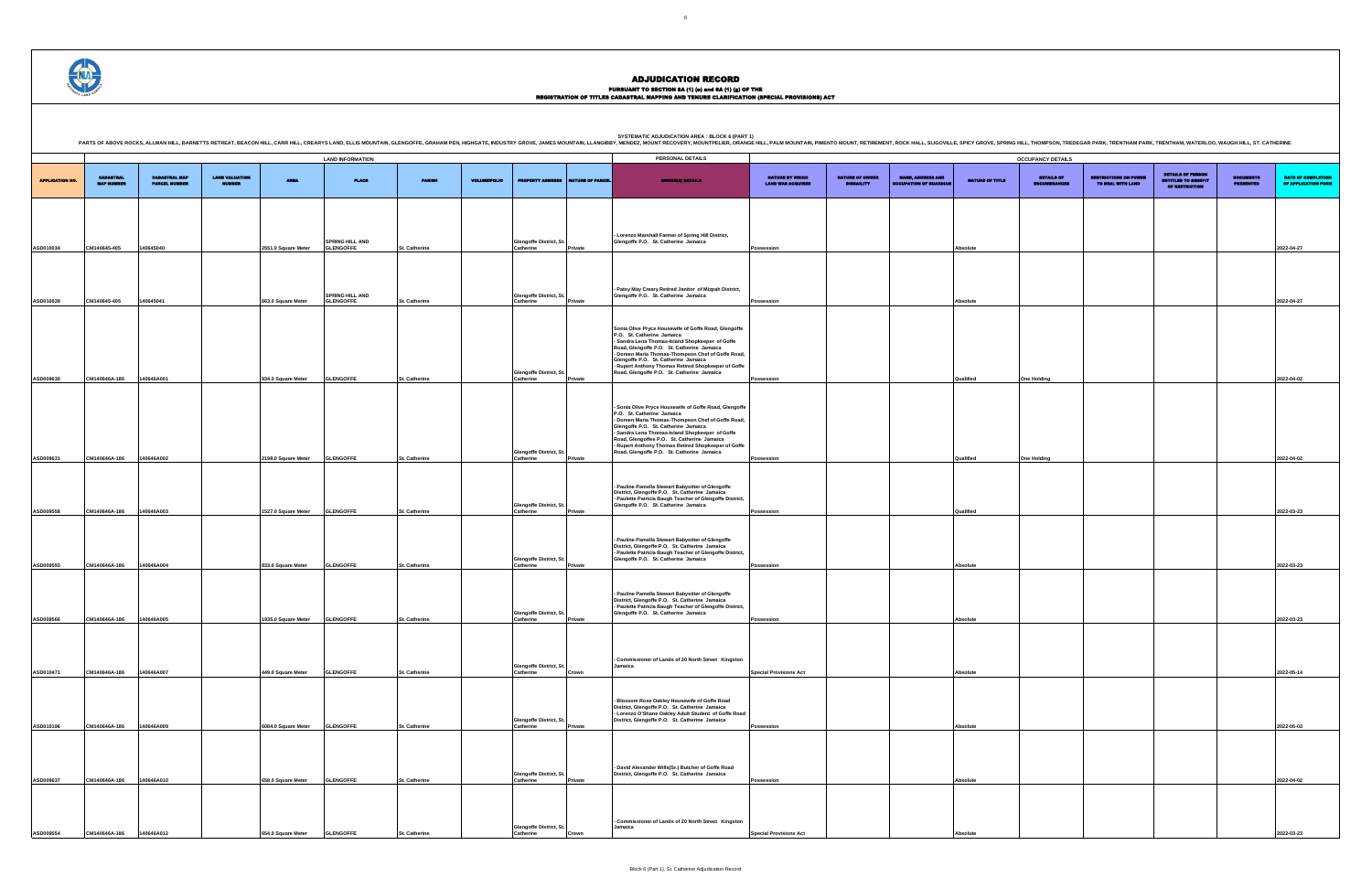PURSUANT TO SECTION 8A (1) (0) and 8A (1) (g) OF THE<br>REGISTRATION OF TITLES CADASTRAL MAPPING AND TENURE CLARIFICATION (SPECIAL PROVISIONS) ACT

DETAILS OF ENCUMBRANCES RESTRICTIONS ON POWER TO DEAL WITH LAND DETAILS OF PERSON ENTITLED TO BENEFIT OF RESTRICTION DOCUMENTS PRESENTED DATE OF COMPLETION OF APPLICATION FORM **Possession Absolute 2022-04-27 Possession Absolute 2022-04-27 Possession Qualified One Holding 2022-04-02 Possession Qualified One Holding 2022-04-02 Possession Qualified 2022-03-23 Possession Absolute 2022-03-23 Possession Absolute 2022-03-23 Special Provisions Act Absolute 2022-05-14 Possession Absolute 2022-05-03 Possession Absolute 2022-04-02 Special Provisions Act Absolute 2022-03-23** .<br>PRING HILL, THOMPSON, TREDEGAR PARK, TRENTHAM PARK, TRENTHAM, WATERLOO, WAUGH HILL, ST. CATHERINE

|                        |                                       |                                              |                                        |                     |                                            |               |                     |                                             |                         | PARTS OF ABOVE ROCKS, ALLMAN HILL, BARNETTS RETREAT, BEACON HILL, CARR HILL, CRRATYS LAND, ELLIS MOUNTAIN, GLENGOFFE, GRAHAM PEN, HIGHGATE, INDUSTRY GROVE, JAMES MOUNTAIN, LLANGIBBY, MENDEZ, MOUNT RECOVERY, MOUNTPELIER, OR                                                                                                                                                            |                                             |                                             |                                                    |                 |                                   |
|------------------------|---------------------------------------|----------------------------------------------|----------------------------------------|---------------------|--------------------------------------------|---------------|---------------------|---------------------------------------------|-------------------------|-------------------------------------------------------------------------------------------------------------------------------------------------------------------------------------------------------------------------------------------------------------------------------------------------------------------------------------------------------------------------------------------|---------------------------------------------|---------------------------------------------|----------------------------------------------------|-----------------|-----------------------------------|
|                        |                                       |                                              |                                        |                     | <b>LAND INFORMATION</b>                    |               |                     |                                             |                         | PERSONAL DETAILS                                                                                                                                                                                                                                                                                                                                                                          |                                             |                                             |                                                    |                 | <b>OCCUPANCY DETAILS</b>          |
| <b>APPLICATION NO.</b> | <b>CADASTRAL</b><br><b>MAP NUMBER</b> | <b>CADASTRAL MAP</b><br><b>PARCEL NUMBER</b> | <b>LAND VALUATION</b><br><b>MUMBER</b> | <b>AREA</b>         | <b>PLACE</b>                               | <b>PARISH</b> | <b>VOLUME/FOLIO</b> | <b>PROPERTY ADDRESS</b>                     | <b>NATURE OF PARCEL</b> | <b>OWNER(8) DETAILS</b>                                                                                                                                                                                                                                                                                                                                                                   | NATURE BY WHICH<br><b>LAND WAS ACQUIRED</b> | <b>NATURE OF OWNER</b><br><b>DISBAILITY</b> | NAME, ADDRESS AND<br><b>OCCUPATION OF GUARDIAL</b> | NATURE OF TITLE | DETAILS OF<br><b>ENCUMBRANCES</b> |
|                        |                                       |                                              |                                        |                     |                                            |               |                     |                                             |                         |                                                                                                                                                                                                                                                                                                                                                                                           |                                             |                                             |                                                    |                 |                                   |
| ASD010034              | CM140645-405                          | 140645040                                    |                                        | 2551.0 Square Meter | <b>SPRING HILL AND</b><br><b>GLENGOFFE</b> | St. Catherine |                     | Glengoffe District, St.<br><b>Catherine</b> | Private                 | Lorenzo Marshall Farmer of Spring Hill District,<br>Glengoffe P.O. St. Catherine Jamaica                                                                                                                                                                                                                                                                                                  | <b>Possession</b>                           |                                             |                                                    | Absolute        |                                   |
|                        |                                       |                                              |                                        |                     |                                            |               |                     |                                             |                         |                                                                                                                                                                                                                                                                                                                                                                                           |                                             |                                             |                                                    |                 |                                   |
| ASD010039              | CM140645-405                          | 140645041                                    |                                        | 663.0 Square Meter  | <b>SPRING HILL AND</b><br><b>GLENGOFFE</b> | St. Catherine |                     | Glengoffe District, St.<br>Catherine        | Private                 | Patsy May Creary Retired Janitor of Mizpah District,<br>Glengoffe P.O. St. Catherine Jamaica                                                                                                                                                                                                                                                                                              | Possession                                  |                                             |                                                    | Absolute        |                                   |
| ASD009630              | CM140646A-186                         | 140646A001                                   |                                        | 934.0 Square Meter  | <b>GLENGOFFE</b>                           | St. Catherine |                     | Glengoffe District, St.<br>Catherine        | Private                 | Sonia Olive Pryce Housewife of Goffe Road, Glengoffe<br>P.O. St. Catherine Jamaica<br>- Sandra Lena Thomas-Island Shopkeeper of Goffe<br>Road, Glengoffe P.O. St. Catherine Jamaica<br>- Doreen Maria Thomas-Thompson Chef of Goffe Road,<br>Glengoffe P.O. St. Catherine Jamaica<br>- Rupert Anthony Thomas Retired Shopkeeper of Goffe<br>Road, Glengoffe P.O. St. Catherine Jamaica    | Possession                                  |                                             |                                                    | Qualified       | <b>One Holding</b>                |
| ASD009631              | CM140646A-186                         | 140646A002                                   |                                        | 2198.0 Square Meter | <b>GLENGOFFE</b>                           | St. Catherine |                     | <b>Glengoffe District, St.</b><br>Catherine | Private                 | - Sonia Olive Pryce Housewife of Goffe Road, Glengoffe<br>P.O. St. Catherine Jamaica<br>- Doreen Maria Thomas-Thompson Chef of Goffe Road,<br>Glengoffe P.O. St. Catherine Jamaica<br>- Sandra Lena Thomas-Island Shopkeeper of Goffe<br>Road, Glengoffee P.O. St. Catherine Jamaica<br>- Rupert Anthony Thomas Retired Shopkeeper of Goffe<br>Road, Glengoffe P.O. St. Catherine Jamaica | Possession                                  |                                             |                                                    | Qualified       | <b>One Holding</b>                |
| ASD009558              | CM140646A-186                         | 140646A003                                   |                                        | 1527.0 Square Meter | <b>GLENGOFFE</b>                           | St. Catherine |                     | Glengoffe District, St.<br>Catherine        | Private                 | Pauline Pamella Stewart Babysitter of Glengoffe<br>District, Glengoffe P.O. St. Catherine Jamaica<br>- Paulette Patricia Baugh Teacher of Glengoffe District,<br>Glengoffe P.O. St. Catherine Jamaica                                                                                                                                                                                     | Possession                                  |                                             |                                                    | Qualified       |                                   |
| ASD009593              | CM140646A-186                         | 140646A004                                   |                                        | 833.0 Square Meter  | <b>GLENGOFFE</b>                           | St. Catherine |                     | Glengoffe District, St.<br>Catherine        | Private                 | Pauline Pamella Stewart Babysitter of Glengoffe<br>District, Glengoffe P.O. St. Catherine Jamaica<br>- Paulette Patricia Baugh Teacher of Glengoffe District,<br>Glengoffe P.O. St. Catherine Jamaica                                                                                                                                                                                     | Possession                                  |                                             |                                                    | Absolute        |                                   |
| ASD009566              | CM140646A-186                         | 140646A005                                   |                                        | 1935.0 Square Meter | <b>GLENGOFFE</b>                           | St. Catherine |                     | Glengoffe District, St.<br>Catherine        | Private                 | - Pauline Pamella Stewart Babysitter of Glengoffe<br>District, Glengoffe P.O. St. Catherine Jamaica<br>- Paulette Patricia Baugh Teacher of Glengoffe District,<br>Glengoffe P.O. St. Catherine Jamaica                                                                                                                                                                                   | Possession                                  |                                             |                                                    | Absolute        |                                   |
|                        |                                       |                                              |                                        |                     |                                            |               |                     | <b>Glengoffe District, St</b>               |                         | - Commissioner of Lands of 20 North Street Kingston<br>Jamaica                                                                                                                                                                                                                                                                                                                            |                                             |                                             |                                                    |                 |                                   |
| ASD010471              | CM140646A-186                         | 140646A007                                   |                                        | 449.0 Square Meter  | <b>GLENGOFFE</b>                           | St. Catherine |                     | Catherine<br><b>Glengoffe District, St</b>  | Crown                   | Blossom Rose Oakley Housewife of Goffe Road<br>District, Glengoffe P.O. St. Catherine Jamaica<br>- Lorenzo O'Shane Oakley Adult Student of Goffe Road<br>District, Glengoffe P.O. St. Catherine Jamaica                                                                                                                                                                                   | <b>Special Provisions Act</b>               |                                             |                                                    | Absolute        |                                   |
| ASD010196              | CM140646A-186                         | 140646A009                                   |                                        | 6084.0 Square Meter | <b>GLENGOFFE</b>                           | St. Catherine |                     | Catherine                                   | Private                 |                                                                                                                                                                                                                                                                                                                                                                                           | Possession                                  |                                             |                                                    | Absolute        |                                   |
| ASD009637              | CM140646A-186                         | 140646A010                                   |                                        | 658.0 Square Meter  | <b>GLENGOFFE</b>                           | St. Catherine |                     | <b>Glengoffe District, St</b><br>Catherine  | Private                 | - David Alexander Wills(Sr.) Butcher of Goffe Road<br>District, Glengoffe P.O. St. Catherine Jamaica                                                                                                                                                                                                                                                                                      | Possession                                  |                                             |                                                    | Absolute        |                                   |
|                        |                                       |                                              |                                        |                     |                                            |               |                     |                                             |                         | Commissioner of Lands of 20 North Street Kingston                                                                                                                                                                                                                                                                                                                                         |                                             |                                             |                                                    |                 |                                   |
| ASD009554              | CM140646A-186                         | 140646A012                                   |                                        | 654.0 Square Meter  | <b>GLENGOFFE</b>                           | St. Catherine |                     | <b>Glengoffe District, St</b><br>Catherine  | Crown                   | Jamaica                                                                                                                                                                                                                                                                                                                                                                                   | <b>Special Provisions Act</b>               |                                             |                                                    | Absolute        |                                   |
|                        |                                       |                                              |                                        |                     |                                            |               |                     |                                             |                         |                                                                                                                                                                                                                                                                                                                                                                                           |                                             |                                             |                                                    |                 |                                   |

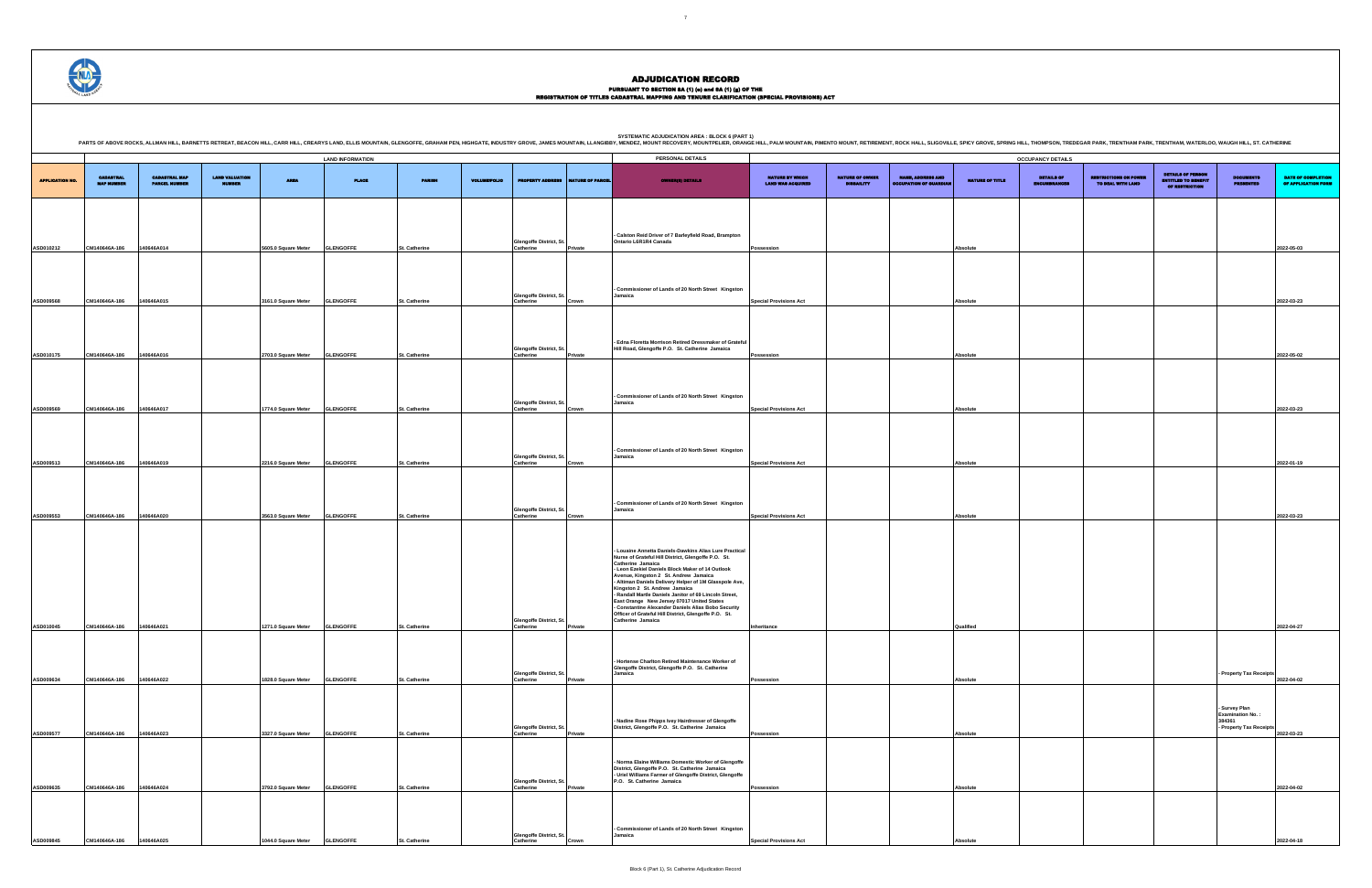## PURSUANT TO SECTION 8A (1) (0) and 8A (1) (g) OF THE<br>REGISTRATION OF TITLES CADASTRAL MAPPING AND TENURE CLARIFICATION (SPECIAL PROVISIONS) ACT

DETAILS OF ENCUMBRANCES RESTRICTIONS ON POWER TO DEAL WITH LAND DETAILS OF PERSON ENTITLED TO BENEFIT OF RESTRICTION DOCUMENTS PRESENTED DATE OF COMPLETION OF APPLICATION FORM **Possession Absolute 2022-05-03 Special Provisions Act Absolute 2022-03-23 Possession Absolute 2022-05-02 Special Provisions Act Absolute 2022-03-23 Special Provisions Act Absolute 2022-01-19 Special Provisions Act Absolute 2022-03-23 Inheritance Qualified 2022-04-27 - Property Tax Receipts 2022-04-02 - Survey Plan Examination No. : 384361 - Property Tax Receipts 2022-03-23 Possession Absolute 2022-04-02 Special Provisions Act Absolute 2022-04-18**

.<br>PRING HILL, THOMPSON, TREDEGAR PARK, TRENTHAM PARK, TRENTHAM, WATERLOO, WAUGH HILL, ST. CATHERINE

|                        |                                       |                                              |                                        |                     | <b>LAND INFORMATION</b> |               |                     |                                             |                  | PERSONAL DETAILS                                                                                                                                                                                                                                                                                                                                                                                                                                                                                                                                                        |                                             |                                             |                                                           |                 | <b>OCCUPANCY DETAILS</b>          |
|------------------------|---------------------------------------|----------------------------------------------|----------------------------------------|---------------------|-------------------------|---------------|---------------------|---------------------------------------------|------------------|-------------------------------------------------------------------------------------------------------------------------------------------------------------------------------------------------------------------------------------------------------------------------------------------------------------------------------------------------------------------------------------------------------------------------------------------------------------------------------------------------------------------------------------------------------------------------|---------------------------------------------|---------------------------------------------|-----------------------------------------------------------|-----------------|-----------------------------------|
| <b>APPLICATION NO.</b> | <b>CADASTRAL</b><br><b>MAP NUMBER</b> | <b>CADASTRAL MAP</b><br><b>PARCEL NUMBER</b> | <b>LAND VALUATION</b><br><b>MUMBER</b> | <b>AREA</b>         | <b>PLACE</b>            | <b>PARISH</b> | <b>VOLUME/FOLIO</b> | <b>PROPERTY ADDRESS</b>                     | NATURE OF PARCEL | <b>OWNER(8) DETAILS</b>                                                                                                                                                                                                                                                                                                                                                                                                                                                                                                                                                 | NATURE BY WHICH<br><b>LAND WAS ACQUIRED</b> | <b>NATURE OF OWNER</b><br><b>DISBAILITY</b> | <b>NAME, ADDRESS AND</b><br><b>OCCUPATION OF GUARDIAN</b> | NATURE OF TITLE | <b>DETAILS OF</b><br>INCUMBRANCES |
|                        |                                       |                                              |                                        |                     |                         |               |                     |                                             |                  |                                                                                                                                                                                                                                                                                                                                                                                                                                                                                                                                                                         |                                             |                                             |                                                           |                 |                                   |
| ASD010212              | CM140646A-186                         | 140646A014                                   |                                        | 5605.0 Square Meter | <b>GLENGOFFE</b>        | St. Catherine |                     | Glengoffe District, St.<br>Catherine        | Private          | - Calston Reid Driver of 7 Barleyfield Road, Brampton<br>Ontario L6R1R4 Canada                                                                                                                                                                                                                                                                                                                                                                                                                                                                                          | Possession                                  |                                             |                                                           | Absolute        |                                   |
|                        |                                       |                                              |                                        |                     |                         |               |                     |                                             |                  | Commissioner of Lands of 20 North Street Kingston                                                                                                                                                                                                                                                                                                                                                                                                                                                                                                                       |                                             |                                             |                                                           |                 |                                   |
| ASD009568              | CM140646A-186                         | 140646A015                                   |                                        | 3161.0 Square Meter | <b>GLENGOFFE</b>        | St. Catherine |                     | <b>Glengoffe District, St.</b><br>Catherine | Crown            | Jamaica                                                                                                                                                                                                                                                                                                                                                                                                                                                                                                                                                                 | <b>Special Provisions Act</b>               |                                             |                                                           | Absolute        |                                   |
| ASD010175              | CM140646A-186                         | 140646A016                                   |                                        | 2703.0 Square Meter | <b>GLENGOFFE</b>        | St. Catherine |                     | <b>Glengoffe District, St.</b><br>Catherine | Private          | - Edna Floretta Morrison Retired Dressmaker of Grateful<br>Hill Road, Glengoffe P.O. St. Catherine Jamaica                                                                                                                                                                                                                                                                                                                                                                                                                                                              | Possession                                  |                                             |                                                           | Absolute        |                                   |
|                        |                                       |                                              |                                        |                     |                         |               |                     | <b>Glengoffe District, St.</b>              |                  | Commissioner of Lands of 20 North Street Kingston<br>Jamaica                                                                                                                                                                                                                                                                                                                                                                                                                                                                                                            |                                             |                                             |                                                           |                 |                                   |
| ASD009569              | CM140646A-186                         | 140646A017                                   |                                        | 1774.0 Square Meter | <b>GLENGOFFE</b>        | St. Catherine |                     | Catherine                                   | Crown            |                                                                                                                                                                                                                                                                                                                                                                                                                                                                                                                                                                         | <b>Special Provisions Act</b>               |                                             |                                                           | <b>Absolute</b> |                                   |
| ASD009513              | CM140646A-186                         | 140646A019                                   |                                        | 2216.0 Square Meter | <b>GLENGOFFE</b>        | St. Catherine |                     | Glengoffe District, St.<br>Catherine        | Crown            | - Commissioner of Lands of 20 North Street Kingston<br>Jamaica                                                                                                                                                                                                                                                                                                                                                                                                                                                                                                          | <b>Special Provisions Act</b>               |                                             |                                                           | <b>Absolute</b> |                                   |
| ASD009553              | CM140646A-186                         | 140646A020                                   |                                        | 3563.0 Square Meter | <b>GLENGOFFE</b>        | St. Catherine |                     | Glengoffe District, St.<br>Catherine        | Crown            | - Commissioner of Lands of 20 North Street Kingston<br>Jamaica                                                                                                                                                                                                                                                                                                                                                                                                                                                                                                          | <b>Special Provisions Act</b>               |                                             |                                                           | Absolute        |                                   |
| ASD010045              | CM140646A-186                         | 140646A021                                   |                                        | 1271.0 Square Meter | <b>GLENGOFFE</b>        | St. Catherine |                     | Glengoffe District, St.<br>Catherine        | Private          | - Louaine Annetta Daniels-Dawkins Alias Lure Practical<br>Nurse of Grateful Hill District, Glengoffe P.O. St.<br>Catherine Jamaica<br>- Leon Ezekiel Daniels Block Maker of 14 Outlook<br>Avenue, Kingston 2 St. Andrew Jamaica<br>- Altiman Daniels Delivery Helper of 1M Glasspole Ave,<br>Kingston 2 St. Andrew Jamaica<br>- Randall Martle Daniels Janitor of 69 Lincoln Street,<br>East Orange New Jersey 07017 United States<br>- Constantine Alexander Daniels Alias Bobo Security<br>Officer of Grateful Hill District, Glengoffe P.O. St.<br>Catherine Jamaica | Inheritance                                 |                                             |                                                           | Qualified       |                                   |
| ASD009634              | CM140646A-186                         | 140646A022                                   |                                        | 1828.0 Square Meter | <b>GLENGOFFE</b>        | St. Catherine |                     | <b>Glengoffe District, St</b><br>Catherine  | Private          | Hortense Charlton Retired Maintenance Worker of<br>Glengoffe District, Glengoffe P.O. St. Catherine<br>Jamaica                                                                                                                                                                                                                                                                                                                                                                                                                                                          | Possession                                  |                                             |                                                           | Absolute        |                                   |
|                        |                                       |                                              |                                        |                     |                         |               |                     |                                             |                  | - Nadine Rose Phipps Ivey Hairdresser of Glengoffe                                                                                                                                                                                                                                                                                                                                                                                                                                                                                                                      |                                             |                                             |                                                           |                 |                                   |
| ASD009577              | CM140646A-186                         | 140646A023                                   |                                        | 3327.0 Square Meter | <b>GLENGOFFE</b>        | St. Catherine |                     | <b>Glengoffe District, St</b><br>Catherine  | Private          | District, Glengoffe P.O. St. Catherine Jamaica                                                                                                                                                                                                                                                                                                                                                                                                                                                                                                                          | Possession                                  |                                             |                                                           | Absolute        |                                   |
| ASD009635              | CM140646A-186                         | 140646A024                                   |                                        | 3792.0 Square Meter | <b>GLENGOFFE</b>        | St. Catherine |                     | <b>Glengoffe District, St</b><br>Catherine  | Private          | Norma Elaine Williams Domestic Worker of Glengoffe<br>District, Glengoffe P.O. St. Catherine Jamaica<br>- Uriel Williams Farmer of Glengoffe District, Glengoffe<br>P.O. St. Catherine Jamaica                                                                                                                                                                                                                                                                                                                                                                          | Possession                                  |                                             |                                                           | Absolute        |                                   |
|                        |                                       |                                              |                                        |                     |                         |               |                     |                                             |                  |                                                                                                                                                                                                                                                                                                                                                                                                                                                                                                                                                                         |                                             |                                             |                                                           |                 |                                   |
| ASD009845              | CM140646A-186                         | 140646A025                                   |                                        | 1044.0 Square Meter | <b>GLENGOFFE</b>        | St. Catherine |                     | <b>Glengoffe District, St</b><br>Catherine  | Crown            | - Commissioner of Lands of 20 North Street Kingston<br>Jamaica                                                                                                                                                                                                                                                                                                                                                                                                                                                                                                          | <b>Special Provisions Act</b>               |                                             |                                                           | <b>Absolute</b> |                                   |

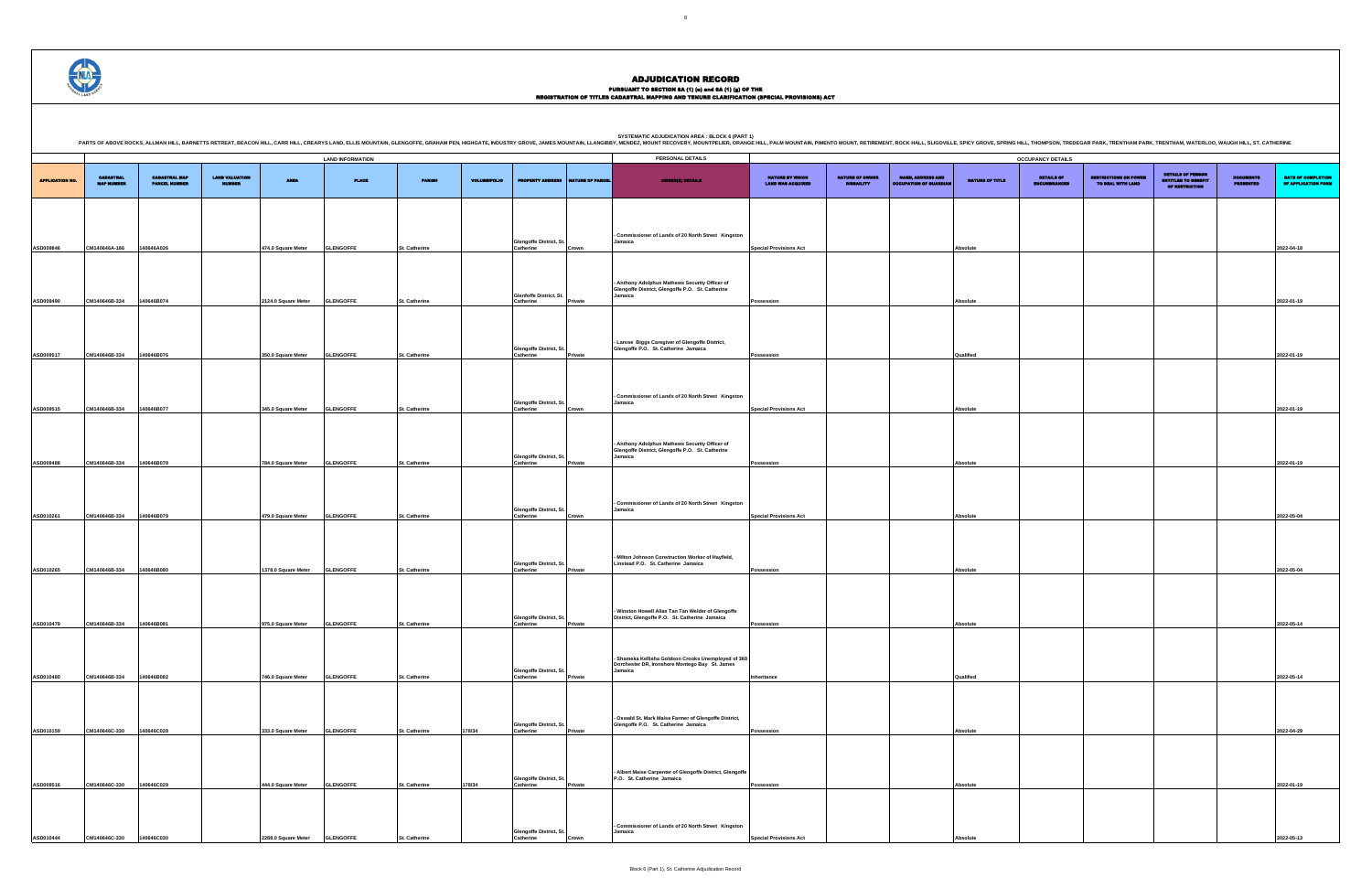## PURSUANT TO SECTION 8A (1) (0) and 8A (1) (g) OF THE<br>REGISTRATION OF TITLES CADASTRAL MAPPING AND TENURE CLARIFICATION (SPECIAL PROVISIONS) ACT

|                        |                                       |                                              |                                        |                     |                         |                      |                     |                                             |                  | PARTS OF ABOVE ROCKS, ALLMAN HILL, BARNETTS RETREAT, BEACON HILL, CARR HILL, CREARYS LAND, ELLIS MOUNTAIN, GLENGOFFE, GRAHAM PEN, HIGHGATE, INDUSTRY GROVE, JAMES MOUNTAIN, LLANGIBBY, MENDEZ, MOUNT RECOVERY, MOUNTPELIER, OR |                                             |                                             |                                                           |                 |                            |
|------------------------|---------------------------------------|----------------------------------------------|----------------------------------------|---------------------|-------------------------|----------------------|---------------------|---------------------------------------------|------------------|--------------------------------------------------------------------------------------------------------------------------------------------------------------------------------------------------------------------------------|---------------------------------------------|---------------------------------------------|-----------------------------------------------------------|-----------------|----------------------------|
|                        |                                       |                                              |                                        |                     | <b>LAND INFORMATION</b> |                      |                     |                                             |                  | PERSONAL DETAILS                                                                                                                                                                                                               |                                             |                                             |                                                           |                 | <b>OCCUPANCY DETAILS</b>   |
| <b>APPLICATION NO.</b> | <b>CADASTRAL</b><br><b>MAP NUMBER</b> | <b>CADASTRAL MAP</b><br><b>PARCEL NUMBER</b> | <b>LAND VALUATION</b><br><b>MUMBER</b> | <b>AREA</b>         | <b>PLACE</b>            | <b>PARISH</b>        | <b>VOLUME/FOLIO</b> | <b>PROPERTY ADDRESS</b>                     | NATURE OF PARCEL | <b>OWNER(8) DETAILS</b>                                                                                                                                                                                                        | NATURE BY WHICH<br><b>LAND WAS ACQUIRED</b> | <b>NATURE OF OWNER</b><br><b>DISBAILITY</b> | <b>NAME, ADDRESS AND</b><br><b>OCCUPATION OF GUARDIAN</b> | NATURE OF TITLE | DETAILS OF<br>ENCUMBRANCES |
|                        |                                       |                                              |                                        |                     |                         |                      |                     |                                             |                  |                                                                                                                                                                                                                                |                                             |                                             |                                                           |                 |                            |
| ASD009846              | CM140646A-186                         | 140646A026                                   |                                        | 474.0 Square Meter  | <b>GLENGOFFE</b>        | St. Catherine        |                     | Glengoffe District, St.<br>Catherine        | Crown            | - Commissioner of Lands of 20 North Street Kingston<br>Jamaica                                                                                                                                                                 | <b>Special Provisions Act</b>               |                                             |                                                           | Absolute        |                            |
|                        |                                       |                                              |                                        |                     |                         |                      |                     |                                             |                  |                                                                                                                                                                                                                                |                                             |                                             |                                                           |                 |                            |
| ASD009490              | CM140646B-334                         | 140646B074                                   |                                        | 2124.0 Square Meter | <b>GLENGOFFE</b>        | <b>St. Catherine</b> |                     | Glenfoffe District, St.<br>Catherine        | Private          | Anthony Adolphus Mathews Security Officer of<br>Glengoffe District, Glengoffe P.O. St. Catherine<br>Jamaica                                                                                                                    |                                             |                                             |                                                           |                 |                            |
|                        |                                       |                                              |                                        |                     |                         |                      |                     |                                             |                  |                                                                                                                                                                                                                                | Possession                                  |                                             |                                                           | Absolute        |                            |
| ASD009517              | CM140646B-334                         | 140646B076                                   |                                        | 350.0 Square Meter  | <b>GLENGOFFE</b>        | <b>St. Catherine</b> |                     | <b>Glengoffe District, St.</b><br>Catherine | Private          | - Larose Biggs Caregiver of Glengoffe District,<br>Glengoffe P.O. St. Catherine Jamaica                                                                                                                                        | Possession                                  |                                             |                                                           | Qualified       |                            |
|                        |                                       |                                              |                                        |                     |                         |                      |                     |                                             |                  |                                                                                                                                                                                                                                |                                             |                                             |                                                           |                 |                            |
| ASD009515              | CM140646B-334                         | 140646B077                                   |                                        | 345.0 Square Meter  | <b>GLENGOFFE</b>        | <b>St. Catherine</b> |                     | Glengoffe District, St.<br>Catherine        | Crown            | - Commissioner of Lands of 20 North Street Kingston<br>Jamaica                                                                                                                                                                 | <b>Special Provisions Act</b>               |                                             |                                                           | Absolute        |                            |
|                        |                                       |                                              |                                        |                     |                         |                      |                     |                                             |                  |                                                                                                                                                                                                                                |                                             |                                             |                                                           |                 |                            |
| ASD009488              | CM140646B-334                         | 140646B078                                   |                                        | 784.0 Square Meter  | <b>GLENGOFFE</b>        | St. Catherine        |                     | <b>Glengoffe District, St.</b><br>Catherine | Private          | Anthony Adolphus Mathews Security Officer of<br>Glengoffe District, Glengoffe P.O. St. Catherine<br>Jamaica                                                                                                                    | Possession                                  |                                             |                                                           | <b>Absolute</b> |                            |
|                        |                                       |                                              |                                        |                     |                         |                      |                     |                                             |                  |                                                                                                                                                                                                                                |                                             |                                             |                                                           |                 |                            |
| ASD010261              | CM140646B-334                         | 140646B079                                   |                                        | 479.0 Square Meter  | <b>GLENGOFFE</b>        | St. Catherine        |                     | Glengoffe District, St.<br>Catherine        | Crown            | - Commissioner of Lands of 20 North Street Kingston<br>Jamaica                                                                                                                                                                 | <b>Special Provisions Act</b>               |                                             |                                                           | Absolute        |                            |
|                        |                                       |                                              |                                        |                     |                         |                      |                     |                                             |                  |                                                                                                                                                                                                                                |                                             |                                             |                                                           |                 |                            |
| ASD010265              | CM140646B-334                         | 140646B080                                   |                                        | 1378.0 Square Meter | <b>GLENGOFFE</b>        | St. Catherine        |                     | Glengoffe District, St.<br>Catherine        | Private          | - Milton Johnson Construction Worker of Hayfield,<br>Linstead P.O. St. Catherine Jamaica                                                                                                                                       | Possession                                  |                                             |                                                           | Absolute        |                            |
|                        |                                       |                                              |                                        |                     |                         |                      |                     |                                             |                  |                                                                                                                                                                                                                                |                                             |                                             |                                                           |                 |                            |
| ASD010479              | CM140646B-334                         | 140646B081                                   |                                        | 975.0 Square Meter  | <b>GLENGOFFE</b>        | St. Catherine        |                     | <b>Glengoffe District, St.</b><br>Catherine | Private          | - Winston Howell Alias Tan Tan Welder of Glengoffe<br>District, Glengoffe P.O. St. Catherine Jamaica                                                                                                                           | Possession                                  |                                             |                                                           | <b>Absolute</b> |                            |
|                        |                                       |                                              |                                        |                     |                         |                      |                     |                                             |                  |                                                                                                                                                                                                                                |                                             |                                             |                                                           |                 |                            |
| ASD010480              | CM140646B-334                         | 140646B082                                   |                                        | 746.0 Square Meter  | <b>GLENGOFFE</b>        | St. Catherine        |                     | <b>Glengoffe District, St</b><br>Catherine  | Private          | Shameka Kellisha Goldson Crooks Unemployed of 368<br>Dorchester DR, Ironshore Montego Bay St. James<br>Jamaica                                                                                                                 | Inheritance                                 |                                             |                                                           | Qualified       |                            |
|                        |                                       |                                              |                                        |                     |                         |                      |                     |                                             |                  |                                                                                                                                                                                                                                |                                             |                                             |                                                           |                 |                            |
| ASD010159              | CM140646C-330                         | 140646C028                                   |                                        | 333.0 Square Meter  | <b>GLENGOFFE</b>        | St. Catherine        | 178/34              | <b>Glengoffe District, St</b><br>Catherine  | Private          | - Oswald St. Mark Maise Farmer of Glengoffe District,<br>Glengoffe P.O. St. Catherine Jamaica                                                                                                                                  | Possession                                  |                                             |                                                           | Absolute        |                            |
|                        |                                       |                                              |                                        |                     |                         |                      |                     |                                             |                  |                                                                                                                                                                                                                                |                                             |                                             |                                                           |                 |                            |
| ASD009516              | CM140646C-330                         | 140646C029                                   |                                        | 444.0 Square Meter  | <b>GLENGOFFE</b>        | St. Catherine        | 178/34              | <b>Glengoffe District, St</b><br>Catherine  | Private          | Albert Maise Carpenter of Glengoffe District, Glengoffe<br>P.O. St. Catherine Jamaica                                                                                                                                          | Possession                                  |                                             |                                                           | Absolute        |                            |
|                        |                                       |                                              |                                        |                     |                         |                      |                     |                                             |                  |                                                                                                                                                                                                                                |                                             |                                             |                                                           |                 |                            |
|                        |                                       |                                              |                                        |                     |                         |                      |                     | Glengoffe District, St.                     |                  | - Commissioner of Lands of 20 North Street Kingston<br>Jamaica                                                                                                                                                                 |                                             |                                             |                                                           |                 |                            |
| ASD010444              | CM140646C-330                         | 140646C030                                   |                                        | 2288.0 Square Meter | <b>GLENGOFFE</b>        | St. Catherine        |                     | Catherine                                   | Crown            |                                                                                                                                                                                                                                | <b>Special Provisions Act</b>               |                                             |                                                           | Absolute        |                            |

.<br>RING HILL, THOMPSON, TREDEGAR PARK, TRENTHAM PARK, TRENTHAM, WATERLOO, WAUGH HILL, ST. CATHERINE

DETAILS OF ENCUMBRANCES RESTRICTIONS ON POWER TO DEAL WITH LAND DETAILS OF PERSON ENTITLED TO BENEFIT OF RESTRICTION DOCUMENTS PRESENTED DATE OF COMPLETION OF APPLICATION FORM **Special Provisions Act Absolute 2022-04-18 Possession Absolute 2022-01-19 Possession Qualified 2022-01-19 Special Provisions Act Absolute 2022-01-19 Possession Absolute 2022-01-19 Special Provisions Act Absolute 2022-05-04 Possession Absolute 2022-05-04 Possession Absolute 2022-05-14 Inheritance Qualified 2022-05-14 Possession Absolute 2022-04-29 Possession Absolute 2022-01-19 Special Provisions Act Absolute 2022-05-13**

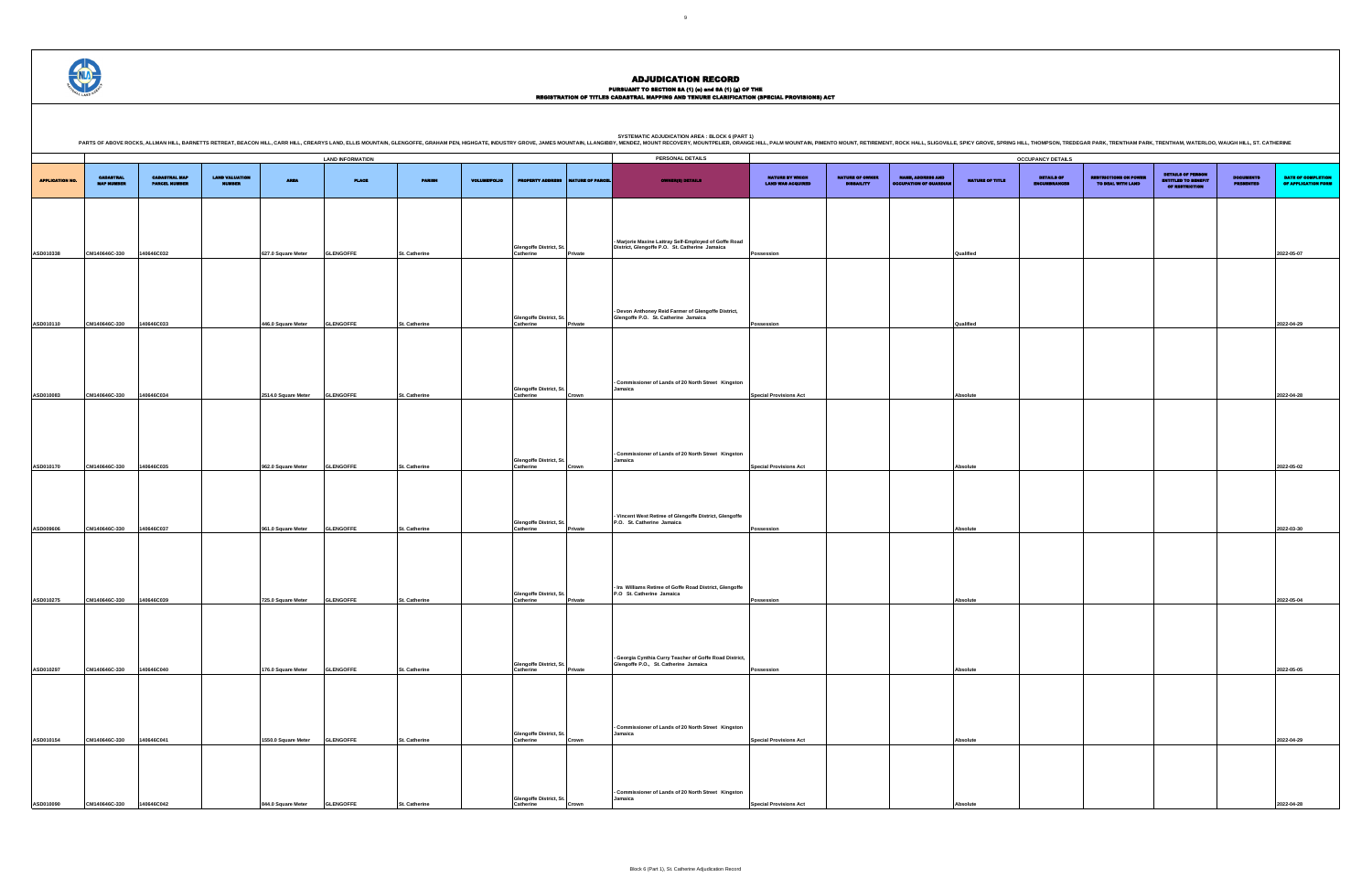# PURSUANT TO SECTION 8A (1) (0) and 8A (1) (g) OF THE<br>REGISTRATION OF TITLES CADASTRAL MAPPING AND TENURE CLARIFICATION (SPECIAL PROVISIONS) ACT

DETAILS OF ENCUMBRANCES RESTRICTIONS ON POWER TO DEAL WITH LAND DETAILS OF PERSON ENTITLED TO BENEFIT OF RESTRICTION DOCUMENTS PRESENTED DATE OF COMPLETION OF APPLICATION FORM **Possession Qualified 2022-05-07 Possession Qualified 2022-04-29 Special Provisions Act Absolute 2022-04-28 Special Provisions Act Absolute 2022-05-02 Possession Absolute 2022-03-30 Possession Absolute 2022-05-04 Possession Absolute 2022-05-05 Special Provisions Act Absolute 2022-04-29 Special Provisions Act Absolute 2022-04-28** .<br>PRING HILL, THOMPSON, TREDEGAR PARK, TRENTHAM PARK, TRENTHAM, WATERLOO, WAUGH HILL, ST. CATHERINE

|                        |                                       |                                              |                                        |                     |                         |                      |                     |                                            |                  | <b>SYSTEMATIC ADJUDICATION AREA : BLOCK 6 (PART 1)</b><br>PARTS OF ABOVE ROCKS, ALLMAN HILL, BARNETTS RETREAT, BEACON HILL, CARR HILL, CREARYS LAND, ELLIS MOUNTAIN, GLENGOFFE, GRAHAM PEN, HIGHGATE, INDUSTRY GROVE, JAMES MOUNTAIN, LLANGIBBY, MENDEZ, MOUNT RECOVERY, MOUNTPELIER, OR |                                             |                                             |                                                          |                 |                                   |
|------------------------|---------------------------------------|----------------------------------------------|----------------------------------------|---------------------|-------------------------|----------------------|---------------------|--------------------------------------------|------------------|------------------------------------------------------------------------------------------------------------------------------------------------------------------------------------------------------------------------------------------------------------------------------------------|---------------------------------------------|---------------------------------------------|----------------------------------------------------------|-----------------|-----------------------------------|
|                        |                                       |                                              |                                        |                     | <b>LAND INFORMATION</b> |                      |                     |                                            |                  | PERSONAL DETAILS                                                                                                                                                                                                                                                                         |                                             |                                             |                                                          |                 | <b>OCCUPANCY DETAILS</b>          |
| <b>APPLICATION NO.</b> | <b>CADASTRAL</b><br><b>MAP NUMBER</b> | <b>CADASTRAL MAP</b><br><b>PARCEL NUMBER</b> | <b>LAND VALUATION</b><br><b>NUMBER</b> | <b>AREA</b>         | <b>PLACE</b>            | <b>PARISH</b>        | <b>VOLUME/FOLIO</b> | <b>PROPERTY ADDRESS</b>                    | NATURE OF PARCEL | <b>OWNER(8) DETAILS</b>                                                                                                                                                                                                                                                                  | NATURE BY WHICH<br><b>LAND WAS ACQUIRED</b> | <b>NATURE OF OWNER</b><br><b>DISBAILITY</b> | <b>NAME, ADDRESS AND</b><br><b>DCCUPATION OF GUARDIA</b> | NATURE OF TITLE | <b>DETAILS OF</b><br>INCUMBRANCE! |
| ASD010338              | CM140646C-330                         | 140646C032                                   |                                        | 627.0 Square Meter  | <b>GLENGOFFE</b>        | St. Catherine        |                     | Glengoffe District, St.<br>Catherine       | Private          | - Marjorie Maxine Lattray Self-Employed of Goffe Road<br>District, Glengoffe P.O. St. Catherine Jamaica                                                                                                                                                                                  | Possession                                  |                                             |                                                          | Qualified       |                                   |
|                        |                                       |                                              |                                        |                     |                         |                      |                     |                                            |                  | - Devon Anthoney Reid Farmer of Glengoffe District,                                                                                                                                                                                                                                      |                                             |                                             |                                                          |                 |                                   |
| ASD010110              | CM140646C-330                         | 140646C033                                   |                                        | 446.0 Square Meter  | <b>GLENGOFFE</b>        | St. Catherine        |                     | Glengoffe District, St.<br>Catherine       | Private          | Glengoffe P.O. St. Catherine Jamaica                                                                                                                                                                                                                                                     | Possession                                  |                                             |                                                          | Qualified       |                                   |
| ASD010083              | CM140646C-330                         | 140646C034                                   |                                        | 2514.0 Square Meter | <b>GLENGOFFE</b>        | St. Catherine        |                     | Glengoffe District, St.<br>Catherine       | Crown            | - Commissioner of Lands of 20 North Street Kingston<br>Jamaica                                                                                                                                                                                                                           | <b>Special Provisions Act</b>               |                                             |                                                          | Absolute        |                                   |
| ASD010170              | CM140646C-330                         | 140646C035                                   |                                        | 962.0 Square Meter  | <b>GLENGOFFE</b>        | St. Catherine        |                     | <b>Glengoffe District, St</b><br>Catherine | Crown            | - Commissioner of Lands of 20 North Street Kingston<br>Jamaica                                                                                                                                                                                                                           | <b>Special Provisions Act</b>               |                                             |                                                          | Absolute        |                                   |
| ASD009606              | CM140646C-330                         | 140646C037                                   |                                        | 961.0 Square Meter  | <b>GLENGOFFE</b>        | St. Catherine        |                     | Glengoffe District, St.<br>Catherine       | Private          | Vincent West Retiree of Glengoffe District, Glengoffe<br>P.O. St. Catherine Jamaica                                                                                                                                                                                                      | Possession                                  |                                             |                                                          | <b>Absolute</b> |                                   |
|                        |                                       |                                              |                                        |                     |                         |                      |                     | Glengoffe District, St.                    |                  | - Ira Williams Retiree of Goffe Road District, Glengoffe<br>P.O St. Catherine Jamaica                                                                                                                                                                                                    |                                             |                                             |                                                          |                 |                                   |
| ASD010275              | CM140646C-330                         | 140646C039                                   |                                        | 725.0 Square Meter  | <b>GLENGOFFE</b>        | <b>St. Catherine</b> |                     | Catherine                                  | Private          | - Georgia Cynthia Curry Teacher of Goffe Road District,<br>Glengoffe P.O., St. Catherine Jamaica                                                                                                                                                                                         | Possession                                  |                                             |                                                          | Absolute        |                                   |
| ASD010297              | CM140646C-330                         | 140646C040                                   |                                        | 176.0 Square Meter  | <b>GLENGOFFE</b>        | St. Catherine        |                     | Glengoffe District, St.<br>Catherine       | Private          | - Commissioner of Lands of 20 North Street Kingston                                                                                                                                                                                                                                      | Possession                                  |                                             |                                                          | Absolute        |                                   |
| ASD010154              | CM140646C-330                         | 140646C041                                   |                                        | 1550.0 Square Meter | <b>GLENGOFFE</b>        | St. Catherine        |                     | <b>Glengoffe District, St</b><br>Catherine | Crown            | Jamaica                                                                                                                                                                                                                                                                                  | <b>Special Provisions Act</b>               |                                             |                                                          | Absolute        |                                   |
| ASD010090              | CM140646C-330                         | 140646C042                                   |                                        | 844.0 Square Meter  | <b>GLENGOFFE</b>        | St. Catherine        |                     | Glengoffe District, St.<br>Catherine       | Crown            | Commissioner of Lands of 20 North Street Kingston<br>Jamaica                                                                                                                                                                                                                             | <b>Special Provisions Act</b>               |                                             |                                                          | Absolute        |                                   |

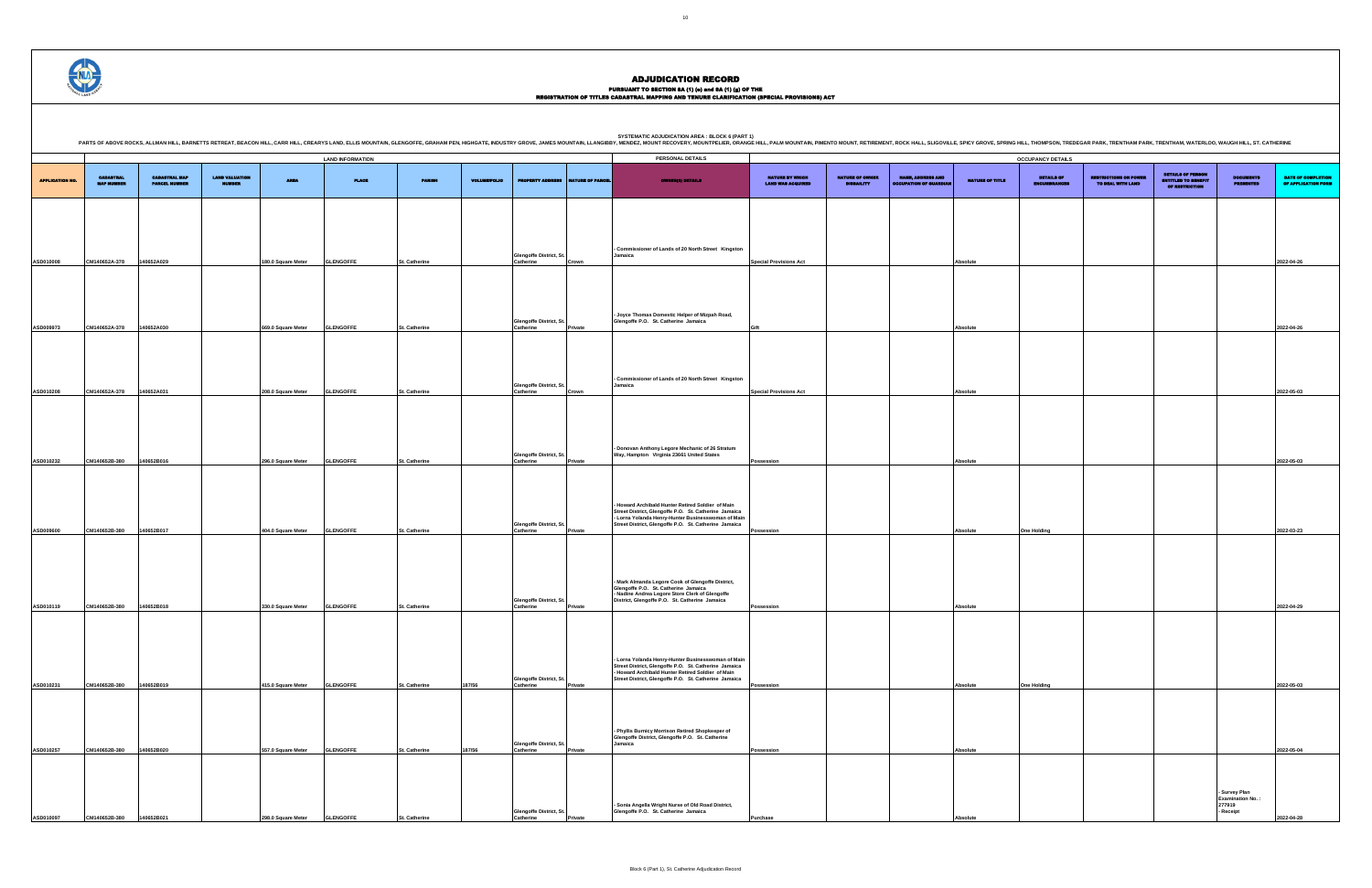PURSUANT TO SECTION 8A (1) (0) and 8A (1) (g) OF THE<br>REGISTRATION OF TITLES CADASTRAL MAPPING AND TENURE CLARIFICATION (SPECIAL PROVISIONS) ACT

DETAILS OF ENCUMBRANCES RESTRICTIONS ON POWER TO DEAL WITH LAND DETAILS OF PERSON ENTITLED TO BENEFIT OF RESTRICTION DOCUMENTS PRESENTED DATE OF COMPLETION OF APPLICATION FORM **Special Provisions Act Absolute 2022-04-26 Gift Absolute 2022-04-26 Special Provisions Act Absolute 2022-05-03 Possession Absolute 2022-05-03 Possession Absolute One Holding 2022-03-23 Possession Absolute 2022-04-29 Possession Absolute One Holding 2022-05-03 Possession Absolute 2022-05-04 - Survey Plan Examination No. : 277919 - Receipt 2022-04-28**

.<br>PRING HILL, THOMPSON, TREDEGAR PARK, TRENTHAM PARK, TRENTHAM, WATERLOO, WAUGH HILL, ST. CATHERINE

|                        |                                       |                                              |                                        |                    |                         |                      |                     |                                            |                  | SYSTEMATIC ADJUDICATION AREA : BLOCK 6 (PART 1)<br>PARTS OF ABOVE ROCKS, ALLMAN HILL, BARNETTS RETREAT, BEACON HILL, CARR HILL, CREARYS LAND, ELLIS MOUNTAIN, GLENGOFFE, GRAHAM PEN, HIGHGATE, INDUSTRY GROVE, JAMES MOUNTAIN, LLANGIBBY, MENDEZ, MOUNT RECOVERY, MOUNTPELIER, OR |                                             |                                             |                                                         |                 |                                   |
|------------------------|---------------------------------------|----------------------------------------------|----------------------------------------|--------------------|-------------------------|----------------------|---------------------|--------------------------------------------|------------------|-----------------------------------------------------------------------------------------------------------------------------------------------------------------------------------------------------------------------------------------------------------------------------------|---------------------------------------------|---------------------------------------------|---------------------------------------------------------|-----------------|-----------------------------------|
|                        |                                       |                                              |                                        |                    | <b>LAND INFORMATION</b> |                      |                     |                                            |                  | PERSONAL DETAILS                                                                                                                                                                                                                                                                  |                                             |                                             |                                                         |                 | <b>OCCUPANCY DETAILS</b>          |
| <b>APPLICATION NO.</b> | <b>CADASTRAL</b><br><b>MAP NUMBER</b> | <b>CADASTRAL MAP</b><br><b>PARCEL NUMBER</b> | <b>LAND VALUATION</b><br><b>NUMBER</b> | <b>AREA</b>        | <b>PLACE</b>            | <b>PARISH</b>        | <b>VOLUME/FOLIO</b> | <b>PROPERTY ADDRESS</b>                    | NATURE OF PARCEL | <b>OWNER(8) DETAILS</b>                                                                                                                                                                                                                                                           | NATURE BY WHICH<br><b>LAND WAS ACQUIRED</b> | <b>NATURE OF OWNER</b><br><b>DISBAILITY</b> | <b>NAME, ADDRESS AND</b><br><b>CCUPATION OF GUARDIA</b> | NATURE OF TITLE | <b>DETAILS OF</b><br>INCUMBRANCE! |
|                        |                                       |                                              |                                        |                    |                         |                      |                     |                                            |                  |                                                                                                                                                                                                                                                                                   |                                             |                                             |                                                         |                 |                                   |
| ASD010008              | CM140652A-378                         | 140652A029                                   |                                        | 180.0 Square Meter | <b>GLENGOFFE</b>        | <b>St. Catherine</b> |                     | Glengoffe District, St.<br>Catherine       | Crown            | - Commissioner of Lands of 20 North Street Kingston<br>Jamaica                                                                                                                                                                                                                    | <b>Special Provisions Act</b>               |                                             |                                                         | Absolute        |                                   |
|                        |                                       |                                              |                                        |                    |                         |                      |                     |                                            |                  |                                                                                                                                                                                                                                                                                   |                                             |                                             |                                                         |                 |                                   |
| ASD009973              | CM140652A-378                         | 140652A030                                   |                                        | 669.0 Square Meter | <b>GLENGOFFE</b>        | <b>St. Catherine</b> |                     | Glengoffe District, St.<br>Catherine       | Private          | - Joyce Thomas Domestic Helper of Mizpah Road,<br>Glengoffe P.O. St. Catherine Jamaica                                                                                                                                                                                            | Gift                                        |                                             |                                                         | Absolute        |                                   |
| ASD010208              | CM140652A-378                         | 140652A031                                   |                                        | 208.0 Square Meter | <b>GLENGOFFE</b>        | St. Catherine        |                     | Glengoffe District, St.<br>Catherine       | Crown            | - Commissioner of Lands of 20 North Street Kingston<br>Jamaica                                                                                                                                                                                                                    | <b>Special Provisions Act</b>               |                                             |                                                         | Absolute        |                                   |
|                        |                                       |                                              |                                        |                    |                         |                      |                     |                                            |                  |                                                                                                                                                                                                                                                                                   |                                             |                                             |                                                         |                 |                                   |
| ASD010232              | CM140652B-380                         | 140652B016                                   |                                        | 296.0 Square Meter | <b>GLENGOFFE</b>        | St. Catherine        |                     | Glengoffe District, St.<br>Catherine       | Private          | - Donovan Anthony Legore Mechanic of 26 Stratum<br>Way, Hampton Virginia 23661 United States                                                                                                                                                                                      | Possession                                  |                                             |                                                         | <b>Absolute</b> |                                   |
| ASD009600              | CM140652B-380                         | 140652B017                                   |                                        | 404.0 Square Meter | <b>GLENGOFFE</b>        | St. Catherine        |                     | Glengoffe District, St.<br>Catherine       | Private          | Howard Archibald Hunter Retired Soldier of Main<br>Street District, Glengoffe P.O. St. Catherine Jamaica<br>- Lorna Yolanda Henry-Hunter Businesswoman of Main<br>Street District, Glengoffe P.O. St. Catherine Jamaica                                                           | Possession                                  |                                             |                                                         | <b>Absolute</b> | <b>One Holding</b>                |
|                        |                                       |                                              |                                        |                    |                         |                      |                     |                                            |                  | - Mark Almanda Legore Cook of Glengoffe District,<br>Glengoffe P.O. St. Catherine Jamaica                                                                                                                                                                                         |                                             |                                             |                                                         |                 |                                   |
| ASD010119              | CM140652B-380                         | 140652B018                                   |                                        | 330.0 Square Meter | <b>GLENGOFFE</b>        | St. Catherine        |                     | Glengoffe District, St.<br>Catherine       | Private          | - Nadine Andrea Legore Store Clerk of Glengoffe<br>District, Glengoffe P.O. St. Catherine Jamaica                                                                                                                                                                                 | Possession                                  |                                             |                                                         | Absolute        |                                   |
|                        |                                       |                                              |                                        |                    |                         |                      |                     | <b>Glengoffe District, St.</b>             |                  | - Lorna Yolanda Henry-Hunter Businesswoman of Main<br>Street District, Glengoffe P.O. St. Catherine Jamaica<br>- Howard Archibald Hunter Retired Soldier of Main<br>Street District, Glengoffe P.O. St. Catherine Jamaica                                                         |                                             |                                             |                                                         |                 |                                   |
| ASD010231              | CM140652B-380                         | 140652B019                                   |                                        | 415.0 Square Meter | <b>GLENGOFFE</b>        | St. Catherine        | 187/56              | Catherine                                  | Private          |                                                                                                                                                                                                                                                                                   | Possession                                  |                                             |                                                         | Absolute        | <b>One Holding</b>                |
| ASD010257              | CM140652B-380                         | 140652B020                                   |                                        | 557.0 Square Meter | <b>GLENGOFFE</b>        | St. Catherine        | 187/56              | Glengoffe District, St.<br>Catherine       | Private          | Phyllis Burnicy Morrison Retired Shopkeeper of<br>Glengoffe District, Glengoffe P.O. St. Catherine<br>Jamaica                                                                                                                                                                     | Possession                                  |                                             |                                                         | Absolute        |                                   |
|                        |                                       |                                              |                                        |                    |                         |                      |                     |                                            |                  |                                                                                                                                                                                                                                                                                   |                                             |                                             |                                                         |                 |                                   |
| ASD010097              | CM140652B-380                         | 140652B021                                   |                                        | 298.0 Square Meter | <b>GLENGOFFE</b>        | St. Catherine        |                     | <b>Glengoffe District, St</b><br>Catherine | Private          | Sonia Angella Wright Nurse of Old Road District,<br>Glengoffe P.O. St. Catherine Jamaica                                                                                                                                                                                          | Purchase                                    |                                             |                                                         | Absolute        |                                   |

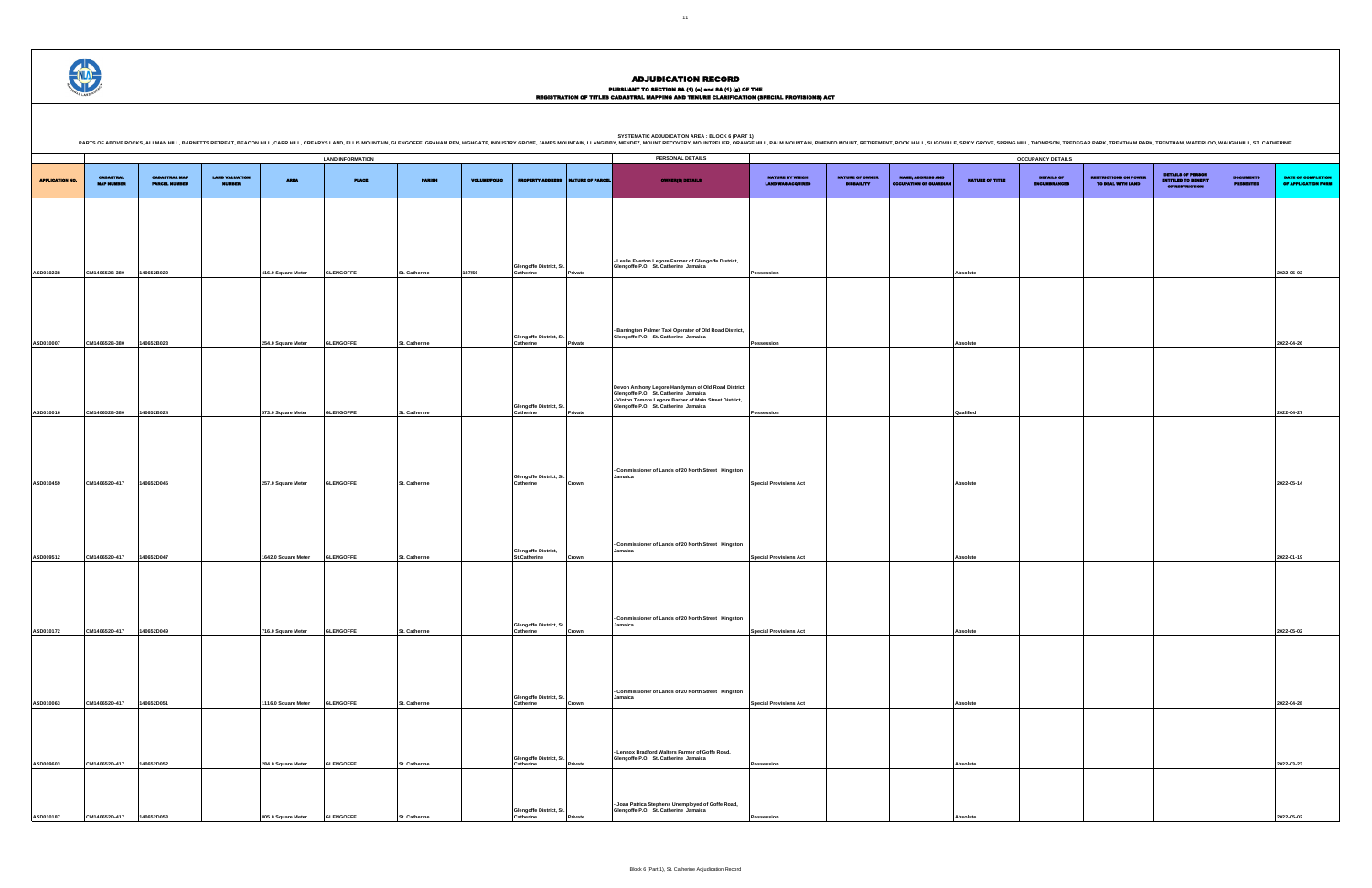PURSUANT TO SECTION 8A (1) (0) and 8A (1) (g) OF THE<br>REGISTRATION OF TITLES CADASTRAL MAPPING AND TENURE CLARIFICATION (SPECIAL PROVISIONS) ACT

DETAILS OF ENCUMBRANCES RESTRICTIONS ON POWER TO DEAL WITH LAND DETAILS OF PERSON ENTITLED TO BENEFIT OF RESTRICTION DOCUMENTS PRESENTED DATE OF COMPLETION OF APPLICATION FORM **Possession Absolute 2022-05-03 Possession Absolute 2022-04-26 Possession Qualified 2022-04-27 Special Provisions Act Absolute 2022-05-14 Special Provisions Act Absolute 2022-01-19 Special Provisions Act Absolute 2022-05-02 Special Provisions Act Absolute 2022-04-28 Possession Absolute 2022-03-23 Possession Absolute 2022-05-02** .<br>PRING HILL, THOMPSON, TREDEGAR PARK, TRENTHAM PARK, TRENTHAM, WATERLOO, WAUGH HILL, ST. CATHERINE



| PARTS OF ABOVE ROCKS, ALLMAN HILL, BARNETTS RETREAT, BEACON HILL, CARR HILL, CREARYS LAND, ELLIS MOUNTAIN, GLENGOFFE, GRAHAM PEN, HIGHGATE, INDUSTRY GROVE, JAMES MOUNTAIN, LLANGIBBY, MENDEZ, MOUNT RECOVERY, MOUNTPELIER, OR |                                       |                                              |                                        |                              | <b>LAND INFORMATION</b> |                      |                     |                                                   |                  | PERSONAL DETAILS                                                                                                                                      |                                             |                                             |                                                           |                 | <b>OCCUPANCY DETAILS</b>   |
|--------------------------------------------------------------------------------------------------------------------------------------------------------------------------------------------------------------------------------|---------------------------------------|----------------------------------------------|----------------------------------------|------------------------------|-------------------------|----------------------|---------------------|---------------------------------------------------|------------------|-------------------------------------------------------------------------------------------------------------------------------------------------------|---------------------------------------------|---------------------------------------------|-----------------------------------------------------------|-----------------|----------------------------|
|                                                                                                                                                                                                                                |                                       |                                              |                                        |                              |                         |                      |                     |                                                   |                  |                                                                                                                                                       |                                             |                                             |                                                           |                 |                            |
| <b>APPLICATION NO.</b>                                                                                                                                                                                                         | <b>CADASTRAL</b><br><b>MAP NUMBER</b> | <b>CADASTRAL MAP</b><br><b>PARCEL NUMBER</b> | <b>LAND VALUATION</b><br><b>NUMBER</b> | <b>AREA</b>                  | <b>PLACE</b>            | <b>PARISH</b>        | <b>VOLUME/FOLIO</b> | <b>PROPERTY ADDRESS</b>                           | NATURE OF PARCEL | <b>OWNER(8) DETAILS</b>                                                                                                                               | NATURE BY WHICH<br><b>LAND WAS ACQUIRED</b> | <b>NATURE OF OWNER</b><br><b>DISBAILITY</b> | <b>NAME, ADDRESS AND</b><br><b>OCCUPATION OF GUARDIAN</b> | NATURE OF TITLE | DETAILS OF<br>ENCUMBRANCES |
|                                                                                                                                                                                                                                |                                       |                                              |                                        |                              |                         |                      |                     |                                                   |                  |                                                                                                                                                       |                                             |                                             |                                                           |                 |                            |
|                                                                                                                                                                                                                                |                                       |                                              |                                        |                              |                         |                      |                     |                                                   |                  |                                                                                                                                                       |                                             |                                             |                                                           |                 |                            |
|                                                                                                                                                                                                                                |                                       |                                              |                                        |                              |                         |                      |                     |                                                   |                  | - Leslie Everton Legore Farmer of Glengoffe District,                                                                                                 |                                             |                                             |                                                           |                 |                            |
| ASD010238                                                                                                                                                                                                                      | CM140652B-380                         | 140652B022                                   |                                        | 416.0 Square Meter           | <b>GLENGOFFE</b>        | St. Catherine        | 187/56              | Glengoffe District, St.<br>Catherine              | Private          | Glengoffe P.O. St. Catherine Jamaica                                                                                                                  | Possession                                  |                                             |                                                           | Absolute        |                            |
|                                                                                                                                                                                                                                |                                       |                                              |                                        |                              |                         |                      |                     |                                                   |                  |                                                                                                                                                       |                                             |                                             |                                                           |                 |                            |
|                                                                                                                                                                                                                                |                                       |                                              |                                        |                              |                         |                      |                     |                                                   |                  | - Barrington Palmer Taxi Operator of Old Road District,                                                                                               |                                             |                                             |                                                           |                 |                            |
| ASD010007                                                                                                                                                                                                                      | CM140652B-380                         | 140652B023                                   |                                        | 254.0 Square Meter           | <b>GLENGOFFE</b>        | <b>St. Catherine</b> |                     | Glengoffe District, St.<br>Catherine              | Private          | Glengoffe P.O. St. Catherine Jamaica                                                                                                                  | Possession                                  |                                             |                                                           | Absolute        |                            |
|                                                                                                                                                                                                                                |                                       |                                              |                                        |                              |                         |                      |                     |                                                   |                  |                                                                                                                                                       |                                             |                                             |                                                           |                 |                            |
|                                                                                                                                                                                                                                |                                       |                                              |                                        |                              |                         |                      |                     |                                                   |                  | Devon Anthony Legore Handyman of Old Road District,<br>Glengoffe P.O. St. Catherine Jamaica<br>- Vinton Tomore Legore Barber of Main Street District, |                                             |                                             |                                                           |                 |                            |
| ASD010016                                                                                                                                                                                                                      | CM140652B-380                         | 140652B024                                   |                                        | 573.0 Square Meter           | <b>GLENGOFFE</b>        | St. Catherine        |                     | <b>Glengoffe District, St</b><br>Catherine        | Private          | Glengoffe P.O. St. Catherine Jamaica                                                                                                                  | Possession                                  |                                             |                                                           | Qualified       |                            |
|                                                                                                                                                                                                                                |                                       |                                              |                                        |                              |                         |                      |                     |                                                   |                  |                                                                                                                                                       |                                             |                                             |                                                           |                 |                            |
|                                                                                                                                                                                                                                |                                       |                                              |                                        |                              |                         |                      |                     |                                                   |                  | - Commissioner of Lands of 20 North Street Kingston<br>Jamaica                                                                                        |                                             |                                             |                                                           |                 |                            |
| ASD010459                                                                                                                                                                                                                      | CM140652D-417                         | 140652D045                                   |                                        | 257.0 Square Meter           | <b>GLENGOFFE</b>        | St. Catherine        |                     | Glengoffe District, St.<br>Catherine              | Crown            |                                                                                                                                                       | <b>Special Provisions Act</b>               |                                             |                                                           | Absolute        |                            |
|                                                                                                                                                                                                                                |                                       |                                              |                                        |                              |                         |                      |                     |                                                   |                  |                                                                                                                                                       |                                             |                                             |                                                           |                 |                            |
|                                                                                                                                                                                                                                |                                       |                                              |                                        |                              |                         |                      |                     |                                                   |                  | - Commissioner of Lands of 20 North Street Kingston                                                                                                   |                                             |                                             |                                                           |                 |                            |
| ASD009512                                                                                                                                                                                                                      | CM140652D-417                         | 140652D047                                   |                                        | 1642.0 Square Meter          | <b>GLENGOFFE</b>        | St. Catherine        |                     | <b>Glengoffe District,</b><br><b>St.Catherine</b> | Crown            | Jamaica                                                                                                                                               | <b>Special Provisions Act</b>               |                                             |                                                           | <b>Absolute</b> |                            |
|                                                                                                                                                                                                                                |                                       |                                              |                                        |                              |                         |                      |                     |                                                   |                  |                                                                                                                                                       |                                             |                                             |                                                           |                 |                            |
|                                                                                                                                                                                                                                |                                       |                                              |                                        |                              |                         |                      |                     |                                                   |                  | - Commissioner of Lands of 20 North Street Kingston                                                                                                   |                                             |                                             |                                                           |                 |                            |
|                                                                                                                                                                                                                                | ASD010172 CM140652D-417 140652D049    |                                              |                                        | 716.0 Square Meter GLENGOFFE |                         | <b>St. Catherine</b> |                     | Glengoffe District, St.<br>Catherine              | Crown            | Jamaica                                                                                                                                               | <b>Special Provisions Act</b>               |                                             |                                                           | <b>Absolute</b> |                            |
|                                                                                                                                                                                                                                |                                       |                                              |                                        |                              |                         |                      |                     |                                                   |                  |                                                                                                                                                       |                                             |                                             |                                                           |                 |                            |
|                                                                                                                                                                                                                                |                                       |                                              |                                        |                              |                         |                      |                     |                                                   |                  | Commissioner of Lands of 20 North Street Kingston                                                                                                     |                                             |                                             |                                                           |                 |                            |
| ASD010063                                                                                                                                                                                                                      | CM140652D-417                         | 140652D051                                   |                                        | 1116.0 Square Meter          | <b>GLENGOFFE</b>        | St. Catherine        |                     | <b>Glengoffe District, St</b><br>Catherine        | Crown            | Jamaica                                                                                                                                               | <b>Special Provisions Act</b>               |                                             |                                                           | Absolute        |                            |
|                                                                                                                                                                                                                                |                                       |                                              |                                        |                              |                         |                      |                     |                                                   |                  |                                                                                                                                                       |                                             |                                             |                                                           |                 |                            |
|                                                                                                                                                                                                                                |                                       |                                              |                                        |                              |                         |                      |                     | <b>Glengoffe District, St</b>                     |                  | Lennox Bradford Walters Farmer of Goffe Road,<br>Glengoffe P.O. St. Catherine Jamaica                                                                 |                                             |                                             |                                                           |                 |                            |
| ASD009603                                                                                                                                                                                                                      | CM140652D-417                         | 140652D052                                   |                                        | 284.0 Square Meter           | <b>GLENGOFFE</b>        | St. Catherine        |                     | Catherine                                         | Private          |                                                                                                                                                       | Possession                                  |                                             |                                                           | Absolute        |                            |
|                                                                                                                                                                                                                                |                                       |                                              |                                        |                              |                         |                      |                     |                                                   |                  | Joan Patrica Stephens Unemployed of Goffe Road,                                                                                                       |                                             |                                             |                                                           |                 |                            |
| ASD010187                                                                                                                                                                                                                      | CM140652D-417                         | 140652D053                                   |                                        | 805.0 Square Meter           | <b>GLENGOFFE</b>        | St. Catherine        |                     | Glengoffe District, St.<br>Catherine              | Private          | Glengoffe P.O. St. Catherine Jamaica                                                                                                                  | Possession                                  |                                             |                                                           | <b>Absolute</b> |                            |